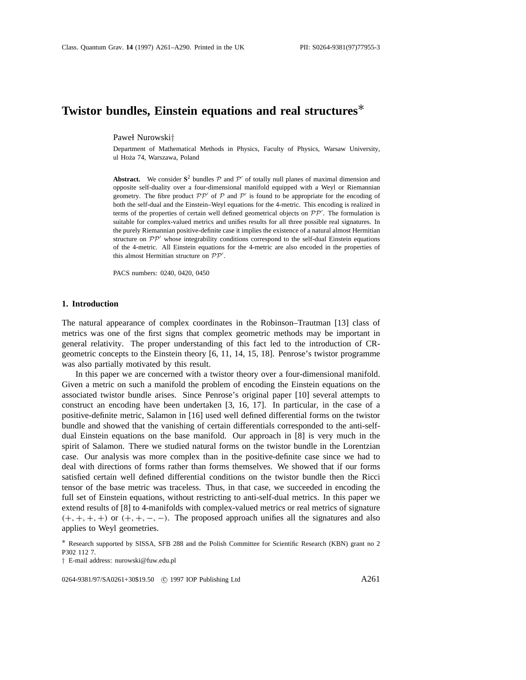# **Twistor bundles, Einstein equations and real structures**∗

Pawel Nurowski*†*

Department of Mathematical Methods in Physics, Faculty of Physics, Warsaw University, ul Hoża 74, Warszawa, Poland

**Abstract.** We consider  $S^2$  bundles  $P$  and  $P'$  of totally null planes of maximal dimension and opposite self-duality over a four-dimensional manifold equipped with a Weyl or Riemannian geometry. The fibre product  $\mathcal{PP}'$  of  $\mathcal P$  and  $\mathcal P'$  is found to be appropriate for the encoding of both the self-dual and the Einstein–Weyl equations for the 4-metric. This encoding is realized in terms of the properties of certain well defined geometrical objects on  $PP'$ . The formulation is suitable for complex-valued metrics and unifies results for all three possible real signatures. In the purely Riemannian positive-definite case it implies the existence of a natural almost Hermitian structure on  $\mathcal{PP}'$  whose integrability conditions correspond to the self-dual Einstein equations of the 4-metric. All Einstein equations for the 4-metric are also encoded in the properties of this almost Hermitian structure on  $PP'$ .

PACS numbers: 0240, 0420, 0450

# **1. Introduction**

The natural appearance of complex coordinates in the Robinson–Trautman [13] class of metrics was one of the first signs that complex geometric methods may be important in general relativity. The proper understanding of this fact led to the introduction of CRgeometric concepts to the Einstein theory [6, 11, 14, 15, 18]. Penrose's twistor programme was also partially motivated by this result.

In this paper we are concerned with a twistor theory over a four-dimensional manifold. Given a metric on such a manifold the problem of encoding the Einstein equations on the associated twistor bundle arises. Since Penrose's original paper [10] several attempts to construct an encoding have been undertaken [3, 16, 17]. In particular, in the case of a positive-definite metric, Salamon in [16] used well defined differential forms on the twistor bundle and showed that the vanishing of certain differentials corresponded to the anti-selfdual Einstein equations on the base manifold. Our approach in [8] is very much in the spirit of Salamon. There we studied natural forms on the twistor bundle in the Lorentzian case. Our analysis was more complex than in the positive-definite case since we had to deal with directions of forms rather than forms themselves. We showed that if our forms satisfied certain well defined differential conditions on the twistor bundle then the Ricci tensor of the base metric was traceless. Thus, in that case, we succeeded in encoding the full set of Einstein equations, without restricting to anti-self-dual metrics. In this paper we extend results of [8] to 4-manifolds with complex-valued metrics or real metrics of signature *(*+*,* +*,* +*,* +*)* or *(*+*,* +*,* −*,* −*)*. The proposed approach unifies all the signatures and also applies to Weyl geometries.

0264-9381/97/SA0261+30\$19.50 © 1997 IOP Publishing Ltd A261

<sup>∗</sup> Research supported by SISSA, SFB 288 and the Polish Committee for Scientific Research (KBN) grant no 2 P302 112 7.

*<sup>†</sup>* E-mail address: nurowski@fuw.edu.pl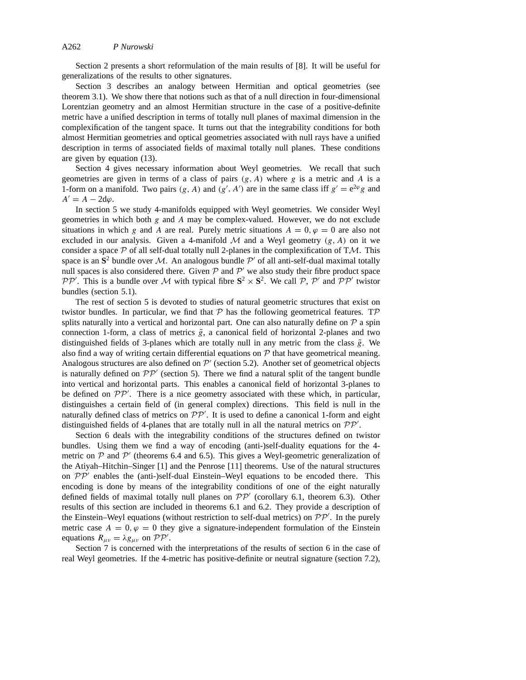Section 2 presents a short reformulation of the main results of [8]. It will be useful for generalizations of the results to other signatures.

Section 3 describes an analogy between Hermitian and optical geometries (see theorem 3.1). We show there that notions such as that of a null direction in four-dimensional Lorentzian geometry and an almost Hermitian structure in the case of a positive-definite metric have a unified description in terms of totally null planes of maximal dimension in the complexification of the tangent space. It turns out that the integrability conditions for both almost Hermitian geometries and optical geometries associated with null rays have a unified description in terms of associated fields of maximal totally null planes. These conditions are given by equation (13).

Section 4 gives necessary information about Weyl geometries. We recall that such geometries are given in terms of a class of pairs *(g, A)* where *g* is a metric and *A* is a 1-form on a manifold. Two pairs  $(g, A)$  and  $(g', A')$  are in the same class iff  $g' = e^{2\varphi}g$  and  $A' = A - 2d\varphi$ .

In section 5 we study 4-manifolds equipped with Weyl geometries. We consider Weyl geometries in which both *g* and *A* may be complex-valued. However, we do not exclude situations in which *g* and *A* are real. Purely metric situations  $A = 0$ ,  $\varphi = 0$  are also not excluded in our analysis. Given a 4-manifold  $M$  and a Weyl geometry  $(g, A)$  on it we consider a space *P* of all self-dual totally null 2-planes in the complexification of T*M*. This space is an  $S^2$  bundle over M. An analogous bundle P' of all anti-self-dual maximal totally null spaces is also considered there. Given  $P$  and  $P'$  we also study their fibre product space *PP*<sup> $\prime$ </sup>. This is a bundle over *M* with typical fibre  $S^2 \times S^2$ . We call *P*, *P*<sup> $\prime$ </sup> and *PP*<sup> $\prime$ </sup> twistor bundles (section 5.1).

The rest of section 5 is devoted to studies of natural geometric structures that exist on twistor bundles. In particular, we find that *P* has the following geometrical features. T*P* splits naturally into a vertical and horizontal part. One can also naturally define on  $\mathcal P$  a spin connection 1-form, a class of metrics  $\tilde{g}$ , a canonical field of horizontal 2-planes and two distinguished fields of 3-planes which are totally null in any metric from the class  $\tilde{g}$ . We also find a way of writing certain differential equations on  $P$  that have geometrical meaning. Analogous structures are also defined on  $\mathcal{P}'$  (section 5.2). Another set of geometrical objects is naturally defined on  $PP'$  (section 5). There we find a natural split of the tangent bundle into vertical and horizontal parts. This enables a canonical field of horizontal 3-planes to be defined on  $PP'$ . There is a nice geometry associated with these which, in particular, distinguishes a certain field of (in general complex) directions. This field is null in the naturally defined class of metrics on  $PP'$ . It is used to define a canonical 1-form and eight distinguished fields of 4-planes that are totally null in all the natural metrics on  $PP'$ .

Section 6 deals with the integrability conditions of the structures defined on twistor bundles. Using them we find a way of encoding (anti-)self-duality equations for the 4 metric on  $P$  and  $P$ <sup>o</sup> (theorems 6.4 and 6.5). This gives a Weyl-geometric generalization of the Atiyah–Hitchin–Singer [1] and the Penrose [11] theorems. Use of the natural structures on  $\mathcal{PP}'$  enables the (anti-)self-dual Einstein–Weyl equations to be encoded there. This encoding is done by means of the integrability conditions of one of the eight naturally defined fields of maximal totally null planes on  $\mathcal{PP}'$  (corollary 6.1, theorem 6.3). Other results of this section are included in theorems 6.1 and 6.2. They provide a description of the Einstein–Weyl equations (without restriction to self-dual metrics) on  $PP'$ . In the purely metric case  $A = 0, \varphi = 0$  they give a signature-independent formulation of the Einstein equations  $R_{\mu\nu} = \lambda g_{\mu\nu}$  on  ${\cal PP}'$ .

Section 7 is concerned with the interpretations of the results of section 6 in the case of real Weyl geometries. If the 4-metric has positive-definite or neutral signature (section 7.2),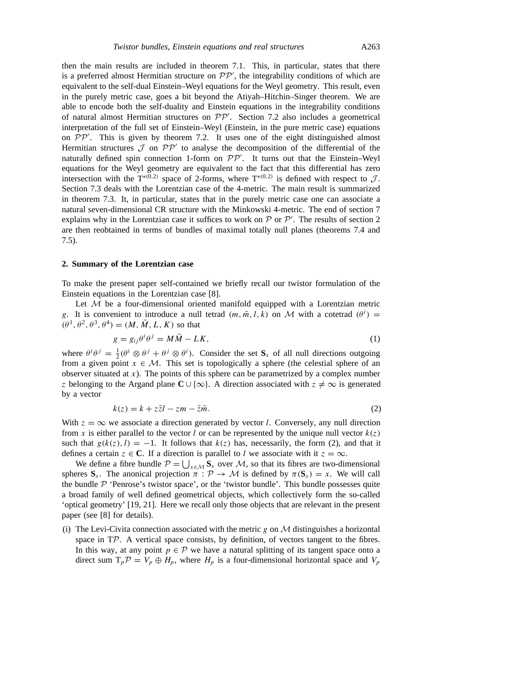then the main results are included in theorem 7.1. This, in particular, states that there is a preferred almost Hermitian structure on  $PP'$ , the integrability conditions of which are equivalent to the self-dual Einstein–Weyl equations for the Weyl geometry. This result, even in the purely metric case, goes a bit beyond the Atiyah–Hitchin–Singer theorem. We are able to encode both the self-duality and Einstein equations in the integrability conditions of natural almost Hermitian structures on  $PP'$ . Section 7.2 also includes a geometrical interpretation of the full set of Einstein–Weyl (Einstein, in the pure metric case) equations on  $PP'$ . This is given by theorem 7.2. It uses one of the eight distinguished almost Hermitian structures  $\mathcal J$  on  $\mathcal{PP}'$  to analyse the decomposition of the differential of the naturally defined spin connection 1-form on  $\mathcal{PP}'$ . It turns out that the Einstein–Weyl equations for the Weyl geometry are equivalent to the fact that this differential has zero intersection with the  $T^{*(0,2)}$  space of 2-forms, where  $T^{*(0,2)}$  is defined with respect to  $J$ . Section 7.3 deals with the Lorentzian case of the 4-metric. The main result is summarized in theorem 7.3. It, in particular, states that in the purely metric case one can associate a natural seven-dimensional CR structure with the Minkowski 4-metric. The end of section 7 explains why in the Lorentzian case it suffices to work on  $P$  or  $P'$ . The results of section 2 are then reobtained in terms of bundles of maximal totally null planes (theorems 7.4 and 7.5).

## **2. Summary of the Lorentzian case**

To make the present paper self-contained we briefly recall our twistor formulation of the Einstein equations in the Lorentzian case [8].

Let  $M$  be a four-dimensional oriented manifold equipped with a Lorentzian metric *g*. It is convenient to introduce a null tetrad  $(m, \bar{m}, l, k)$  on *M* with a cotetrad  $(\theta^i)$  =  $(\theta^1, \theta^2, \theta^3, \theta^4) = (M, \overline{M}, L, K)$  so that

$$
g = g_{ij}\theta^i \theta^j = M\bar{M} - LK,\tag{1}
$$

where  $\theta^i \theta^j = \frac{1}{2} (\theta^i \otimes \theta^j + \theta^j \otimes \theta^i)$ . Consider the set  $S_x$  of all null directions outgoing from a given point  $x \in M$ . This set is topologically a sphere (the celestial sphere of an observer situated at *x*). The points of this sphere can be parametrized by a complex number *z* belonging to the Argand plane  $C \cup \{\infty\}$ . A direction associated with  $z \neq \infty$  is generated by a vector

$$
k(z) = k + z\overline{z}l - zm - \overline{z}\overline{m}.
$$
 (2)

With  $z = \infty$  we associate a direction generated by vector *l*. Conversely, any null direction from *x* is either parallel to the vector *l* or can be represented by the unique null vector  $k(z)$ such that  $g(k(z), l) = -1$ . It follows that  $k(z)$  has, necessarily, the form (2), and that it defines a certain  $z \in \mathbb{C}$ . If a direction is parallel to *l* we associate with it  $z = \infty$ .

We define a fibre bundle  $P = \bigcup_{x \in \mathcal{M}} S_x$  over *M*, so that its fibres are two-dimensional spheres  $S_x$ . The anonical projection  $\pi$  :  $P \to M$  is defined by  $\pi(S_x) = x$ . We will call the bundle  $P$  'Penrose's twistor space', or the 'twistor bundle'. This bundle possesses quite a broad family of well defined geometrical objects, which collectively form the so-called 'optical geometry' [19, 21]. Here we recall only those objects that are relevant in the present paper (see [8] for details).

(i) The Levi-Civita connection associated with the metric  $g$  on  $M$  distinguishes a horizontal space in TP. A vertical space consists, by definition, of vectors tangent to the fibres. In this way, at any point  $p \in \mathcal{P}$  we have a natural splitting of its tangent space onto a direct sum  $T_p \mathcal{P} = V_p \oplus H_p$ , where  $H_p$  is a four-dimensional horizontal space and  $V_p$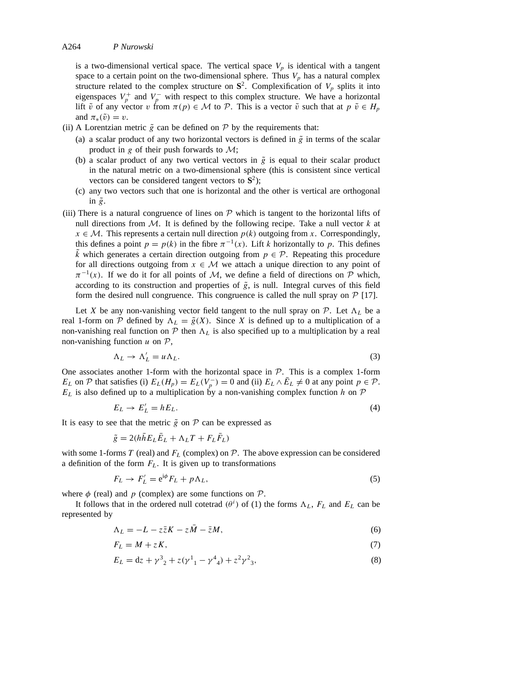is a two-dimensional vertical space. The vertical space  $V_p$  is identical with a tangent space to a certain point on the two-dimensional sphere. Thus  $V_p$  has a natural complex structure related to the complex structure on  $S^2$ . Complexification of  $V_p$  splits it into eigenspaces  $V_p^+$  and  $V_p^-$  with respect to this complex structure. We have a horizontal lift  $\tilde{v}$  of any vector *v* from  $\pi(p) \in \mathcal{M}$  to  $\mathcal{P}$ . This is a vector  $\tilde{v}$  such that at  $p \tilde{v} \in H_p$ and  $\pi_*(\tilde{v}) = v$ .

- (ii) A Lorentzian metric  $\tilde{g}$  can be defined on  $P$  by the requirements that:
	- (a) a scalar product of any two horizontal vectors is defined in  $\tilde{g}$  in terms of the scalar product in *g* of their push forwards to *M*;
	- (b) a scalar product of any two vertical vectors in  $\tilde{g}$  is equal to their scalar product in the natural metric on a two-dimensional sphere (this is consistent since vertical vectors can be considered tangent vectors to  $S^2$ );
	- (c) any two vectors such that one is horizontal and the other is vertical are orthogonal in  $\tilde{g}$ .
- (iii) There is a natural congruence of lines on  $P$  which is tangent to the horizontal lifts of null directions from *M*. It is defined by the following recipe. Take a null vector *k* at  $x \in \mathcal{M}$ . This represents a certain null direction  $p(k)$  outgoing from *x*. Correspondingly, this defines a point  $p = p(k)$  in the fibre  $\pi^{-1}(x)$ . Lift *k* horizontally to *p*. This defines  $\vec{k}$  which generates a certain direction outgoing from  $p \in \mathcal{P}$ . Repeating this procedure for all directions outgoing from  $x \in M$  we attach a unique direction to any point of  $\pi^{-1}(x)$ . If we do it for all points of *M*, we define a field of directions on *P* which, according to its construction and properties of  $\tilde{g}$ , is null. Integral curves of this field form the desired null congruence. This congruence is called the null spray on  $P$  [17].

Let *X* be any non-vanishing vector field tangent to the null spray on  $P$ . Let  $\Lambda_L$  be a real 1-form on  $P$  defined by  $\Lambda_L = \tilde{g}(X)$ . Since X is defined up to a multiplication of a non-vanishing real function on  $P$  then  $\Lambda_L$  is also specified up to a multiplication by a real non-vanishing function *u* on *P*,

$$
\Lambda_L \to \Lambda'_L = u \Lambda_L. \tag{3}
$$

One associates another 1-form with the horizontal space in *P*. This is a complex 1-form *EL* on  $P$  that satisfies (i)  $E_L(H_p) = E_L(V_p^-) = 0$  and (ii)  $E_L \wedge E_L \neq 0$  at any point  $p \in P$ .  $E_L$  is also defined up to a multiplication by a non-vanishing complex function *h* on  $P$ 

$$
E_L \to E'_L = hE_L. \tag{4}
$$

It is easy to see that the metric  $\tilde{g}$  on  $P$  can be expressed as

$$
\tilde{g} = 2(h\bar{h}E_L\bar{E}_L + \Lambda_L T + F_L\bar{F}_L)
$$

with some 1-forms  $T$  (real) and  $F<sub>L</sub>$  (complex) on  $P$ . The above expression can be considered a definition of the form  $F<sub>L</sub>$ . It is given up to transformations

$$
F_L \to F'_L = e^{i\phi} F_L + p\Lambda_L,\tag{5}
$$

where  $\phi$  (real) and *p* (complex) are some functions on  $\mathcal{P}$ .

It follows that in the ordered null cotetrad  $(\theta^i)$  of (1) the forms  $\Lambda_L$ ,  $F_L$  and  $E_L$  can be represented by

$$
\Lambda_L = -L - z\bar{z}K - z\bar{M} - \bar{z}M,\tag{6}
$$

$$
F_L = M + zK,\tag{7}
$$

$$
E_L = dz + \gamma^3{}_2 + z(\gamma^1{}_1 - \gamma^4{}_4) + z^2 \gamma^2{}_3,
$$
\n(8)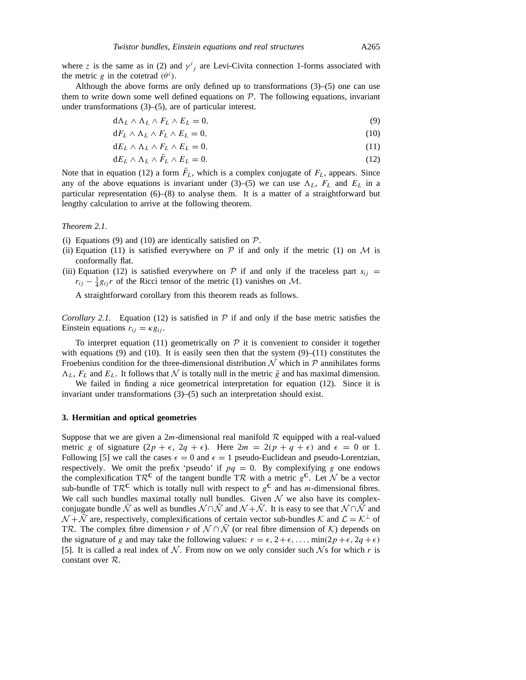where *z* is the same as in (2) and  $\gamma^{i}$  are Levi-Civita connection 1-forms associated with the metric *g* in the cotetrad  $(\theta^i)$ .

Although the above forms are only defined up to transformations  $(3)$ – $(5)$  one can use them to write down some well defined equations on  $P$ . The following equations, invariant under transformations (3)–(5), are of particular interest.

$$
d\Lambda_L \wedge \Lambda_L \wedge F_L \wedge E_L = 0,\tag{9}
$$

$$
dF_L \wedge \Lambda_L \wedge F_L \wedge E_L = 0,\tag{10}
$$

$$
dE_L \wedge \Lambda_L \wedge F_L \wedge E_L = 0,\tag{11}
$$

$$
dE_L \wedge \Lambda_L \wedge \bar{F}_L \wedge E_L = 0. \tag{12}
$$

Note that in equation (12) a form  $\bar{F}_L$ , which is a complex conjugate of  $F_L$ , appears. Since any of the above equations is invariant under (3)–(5) we can use  $\Lambda_L$ ,  $F_L$  and  $E_L$  in a particular representation (6)–(8) to analyse them. It is a matter of a straightforward but lengthy calculation to arrive at the following theorem.

*Theorem 2.1.*

- (i) Equations (9) and (10) are identically satisfied on  $P$ .
- (ii) Equation (11) is satisfied everywhere on  $P$  if and only if the metric (1) on  $M$  is conformally flat.
- (iii) Equation (12) is satisfied everywhere on  $\mathcal P$  if and only if the traceless part  $s_{ii}$  =  $r_{ij} - \frac{1}{4}g_{ij}r$  of the Ricci tensor of the metric (1) vanishes on *M*.

A straightforward corollary from this theorem reads as follows.

*Corollary 2.1.* Equation (12) is satisfied in  $P$  if and only if the base metric satisfies the Einstein equations  $r_{ij} = \kappa g_{ij}$ .

To interpret equation (11) geometrically on  $P$  it is convenient to consider it together with equations (9) and (10). It is easily seen then that the system  $(9)$ –(11) constitutes the Froebenius condition for the three-dimensional distribution  $N$  which in  $P$  annihilates forms  $\Lambda_L$ ,  $F_L$  and  $E_L$ . It follows that  $\mathcal N$  is totally null in the metric  $\tilde g$  and has maximal dimension.

We failed in finding a nice geometrical interpretation for equation (12). Since it is invariant under transformations (3)–(5) such an interpretation should exist.

#### **3. Hermitian and optical geometries**

Suppose that we are given a 2m-dimensional real manifold  $R$  equipped with a real-valued metric *g* of signature  $(2p + \epsilon, 2q + \epsilon)$ . Here  $2m = 2(p + q + \epsilon)$  and  $\epsilon = 0$  or 1. Following [5] we call the cases  $\epsilon = 0$  and  $\epsilon = 1$  pseudo-Euclidean and pseudo-Lorentzian, respectively. We omit the prefix 'pseudo' if  $pq = 0$ . By complexifying *g* one endows the complexification  $T\mathcal{R}^C$  of the tangent bundle  $T\mathcal{R}$  with a metric  $g^C$ . Let  $\mathcal N$  be a vector sub-bundle of TR<sup>C</sup> which is totally null with respect to  $g^C$  and has *m*-dimensional fibres. We call such bundles maximal totally null bundles. Given  $N$  we also have its complexconjugate bundle  $\bar{N}$  as well as bundles  $\mathcal{N} \cap \bar{\mathcal{N}}$  and  $\mathcal{N} + \bar{\mathcal{N}}$ . It is easy to see that  $\mathcal{N} \cap \bar{\mathcal{N}}$  and  $N + \overline{N}$  are, respectively, complexifications of certain vector sub-bundles *K* and  $\mathcal{L} = \mathcal{K}^{\perp}$  of TR. The complex fibre dimension *r* of  $N \cap \overline{N}$  (or real fibre dimension of  $K$ ) depends on the signature of *g* and may take the following values:  $r = \epsilon, 2 + \epsilon, \ldots, \min(2p + \epsilon, 2q + \epsilon)$ [5]. It is called a real index of  $N$ . From now on we only consider such  $N$ s for which  $r$  is constant over *R*.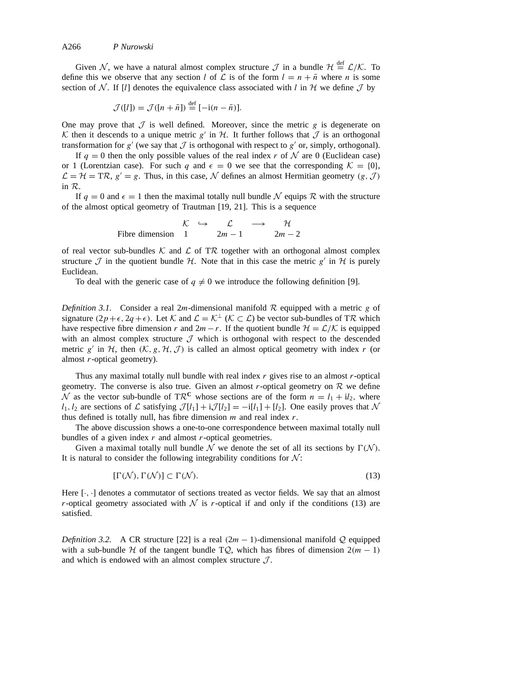Given *N*, we have a natural almost complex structure  $\mathcal{J}$  in a bundle  $\mathcal{H} \stackrel{\text{def}}{=} \mathcal{L}/\mathcal{K}$ . To define this we observe that any section *l* of  $\mathcal L$  is of the form  $l = n + \bar{n}$  where *n* is some section of N. If [*l*] denotes the equivalence class associated with *l* in H we define  $\mathcal J$  by

$$
\mathcal{J}([l]) = \mathcal{J}([n + \bar{n}]) \stackrel{\text{def}}{=} [-i(n - \bar{n})].
$$

One may prove that  $J$  is well defined. Moreover, since the metric  $g$  is degenerate on K then it descends to a unique metric  $g'$  in  $H$ . It further follows that  $J$  is an orthogonal transformation for  $g'$  (we say that  $J$  is orthogonal with respect to  $g'$  or, simply, orthogonal).

If  $q = 0$  then the only possible values of the real index *r* of N are 0 (Euclidean case) or 1 (Lorentzian case). For such *q* and  $\epsilon = 0$  we see that the corresponding  $K = \{0\}$ ,  $\mathcal{L} = \mathcal{H} = T\mathcal{R}, g' = g$ . Thus, in this case,  $\mathcal{N}$  defines an almost Hermitian geometry  $(g, \mathcal{J})$ in *R*.

If  $q = 0$  and  $\epsilon = 1$  then the maximal totally null bundle N equips R with the structure of the almost optical geometry of Trautman [19, 21]. This is a sequence

$$
\begin{array}{rcl}\n\mathcal{K} & \hookrightarrow & \mathcal{L} & \longrightarrow & \mathcal{H} \\
\text{Fibre dimension} & 1 & 2m - 1 & 2m - 2\n\end{array}
$$

of real vector sub-bundles  $K$  and  $L$  of TR together with an orthogonal almost complex structure  $\mathcal I$  in the quotient bundle  $\mathcal H$ . Note that in this case the metric  $g'$  in  $\mathcal H$  is purely Euclidean.

To deal with the generic case of  $q \neq 0$  we introduce the following definition [9].

*Definition 3.1.* Consider a real 2*m*-dimensional manifold *R* equipped with a metric *g* of signature  $(2p+\epsilon, 2q+\epsilon)$ . Let *K* and  $\mathcal{L} = \mathcal{K}^{\perp}$  ( $\mathcal{K} \subset \mathcal{L}$ ) be vector sub-bundles of TR which have respective fibre dimension *r* and  $2m - r$ . If the quotient bundle  $H = \mathcal{L}/\mathcal{K}$  is equipped with an almost complex structure  $J$  which is orthogonal with respect to the descended metric *g*<sup> $\prime$ </sup> in *H*, then *(K, g, H, J)* is called an almost optical geometry with index *r* (or almost *r*-optical geometry).

Thus any maximal totally null bundle with real index *r* gives rise to an almost *r*-optical geometry. The converse is also true. Given an almost  $r$ -optical geometry on  $R$  we define  $\overline{\mathcal{N}}$  as the vector sub-bundle of TR<sup>C</sup> whose sections are of the form  $n = l_1 + il_2$ , where  $l_1, l_2$  are sections of *L* satisfying  $\mathcal{J}[l_1] + i\mathcal{J}[l_2] = -i[l_1] + [l_2]$ . One easily proves that N thus defined is totally null, has fibre dimension *m* and real index *r*.

The above discussion shows a one-to-one correspondence between maximal totally null bundles of a given index *r* and almost *r*-optical geometries.

Given a maximal totally null bundle  $\mathcal N$  we denote the set of all its sections by  $\Gamma(\mathcal N)$ . It is natural to consider the following integrability conditions for  $N$ :

$$
[\Gamma(\mathcal{N}), \Gamma(\mathcal{N})] \subset \Gamma(\mathcal{N}).\tag{13}
$$

Here  $[\cdot, \cdot]$  denotes a commutator of sections treated as vector fields. We say that an almost *r*-optical geometry associated with  $N$  is *r*-optical if and only if the conditions (13) are satisfied.

*Definition 3.2.* A CR structure [22] is a real  $(2m - 1)$ -dimensional manifold *Q* equipped with a sub-bundle  $H$  of the tangent bundle TQ, which has fibres of dimension  $2(m - 1)$ and which is endowed with an almost complex structure  $J$ .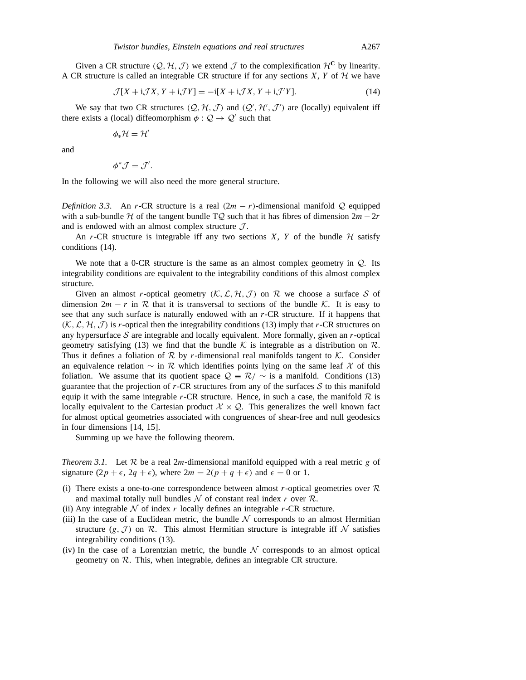Given a CR structure  $(Q, H, J)$  we extend  $J$  to the complexification  $H^C$  by linearity. A CR structure is called an integrable CR structure if for any sections *X*, *Y* of  $H$  we have

$$
\mathcal{J}[X + i\mathcal{J}X, Y + i\mathcal{J}Y] = -i[X + i\mathcal{J}X, Y + i\mathcal{J}'Y].
$$
\n(14)

We say that two CR structures  $(Q, H, J)$  and  $(Q', H', J')$  are (locally) equivalent iff there exists a (local) diffeomorphism  $\phi : \mathcal{Q} \to \mathcal{Q}'$  such that

$$
\phi_*\mathcal{H}=\mathcal{H}'
$$

and

$$
\phi^* \mathcal{J} = \mathcal{J}'
$$

*.*

In the following we will also need the more general structure.

*Definition 3.3.* An *r*-CR structure is a real  $(2m - r)$ -dimensional manifold Q equipped with a sub-bundle *H* of the tangent bundle T*Q* such that it has fibres of dimension 2*m*−2*r* and is endowed with an almost complex structure *J* .

An  $r$ -CR structure is integrable iff any two sections  $X$ ,  $Y$  of the bundle  $H$  satisfy conditions (14).

We note that a 0-CR structure is the same as an almost complex geometry in *Q*. Its integrability conditions are equivalent to the integrability conditions of this almost complex structure.

Given an almost *r*-optical geometry  $(K, \mathcal{L}, \mathcal{H}, \mathcal{J})$  on  $\mathcal{R}$  we choose a surface  $\mathcal S$  of dimension  $2m - r$  in R that it is transversal to sections of the bundle K. It is easy to see that any such surface is naturally endowed with an *r*-CR structure. If it happens that  $(K, \mathcal{L}, \mathcal{H}, \mathcal{J})$  is *r*-optical then the integrability conditions (13) imply that *r*-CR structures on any hypersurface *S* are integrable and locally equivalent. More formally, given an *r*-optical geometry satisfying (13) we find that the bundle  $K$  is integrable as a distribution on  $\mathcal{R}$ . Thus it defines a foliation of  $R$  by *r*-dimensional real manifolds tangent to  $K$ . Consider an equivalence relation ∼ in *R* which identifies points lying on the same leaf *X* of this foliation. We assume that its quotient space  $Q = \mathcal{R}/\sim$  is a manifold. Conditions (13) guarantee that the projection of  $r$ -CR structures from any of the surfaces  $S$  to this manifold equip it with the same integrable  $r$ -CR structure. Hence, in such a case, the manifold  $R$  is locally equivalent to the Cartesian product  $X \times Q$ . This generalizes the well known fact for almost optical geometries associated with congruences of shear-free and null geodesics in four dimensions [14, 15].

Summing up we have the following theorem.

*Theorem 3.1.* Let *R* be a real 2*m*-dimensional manifold equipped with a real metric *g* of signature  $(2p + \epsilon, 2q + \epsilon)$ , where  $2m = 2(p + q + \epsilon)$  and  $\epsilon = 0$  or 1.

- (i) There exists a one-to-one correspondence between almost *r*-optical geometries over *R* and maximal totally null bundles  $N$  of constant real index  $r$  over  $R$ .
- (ii) Any integrable  $N$  of index  $r$  locally defines an integrable  $r$ -CR structure.
- (iii) In the case of a Euclidean metric, the bundle  $N$  corresponds to an almost Hermitian structure  $(g, \mathcal{J})$  on  $\mathcal{R}$ . This almost Hermitian structure is integrable iff  $\mathcal N$  satisfies integrability conditions (13).
- (iv) In the case of a Lorentzian metric, the bundle  $N$  corresponds to an almost optical geometry on *R*. This, when integrable, defines an integrable CR structure.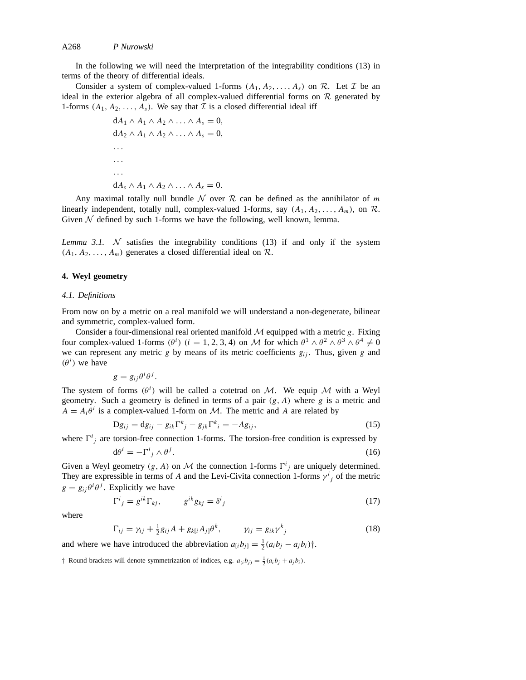In the following we will need the interpretation of the integrability conditions (13) in terms of the theory of differential ideals.

Consider a system of complex-valued 1-forms  $(A_1, A_2, \ldots, A_s)$  on  $\mathcal{R}$ . Let  $\mathcal{I}$  be an ideal in the exterior algebra of all complex-valued differential forms on  $R$  generated by 1-forms  $(A_1, A_2, \ldots, A_s)$ . We say that *I* is a closed differential ideal iff

```
dA_1 ∧ A_1 ∧ A_2 ∧ \ldots ∧ A_s = 0,
dA_2 \wedge A_1 \wedge A_2 \wedge \ldots \wedge A_s = 0,
...
...
...
dA_s \wedge A_1 \wedge A_2 \wedge \ldots \wedge A_s = 0.
```
Any maximal totally null bundle  $N$  over  $R$  can be defined as the annihilator of  $m$ linearly independent, totally null, complex-valued 1-forms, say  $(A_1, A_2, \ldots, A_m)$ , on  $\mathcal{R}$ . Given  $N$  defined by such 1-forms we have the following, well known, lemma.

*Lemma 3.1.*  $N$  satisfies the integrability conditions (13) if and only if the system  $(A_1, A_2, \ldots, A_m)$  generates a closed differential ideal on  $\mathcal{R}$ .

#### **4. Weyl geometry**

#### *4.1. Definitions*

From now on by a metric on a real manifold we will understand a non-degenerate, bilinear and symmetric, complex-valued form.

Consider a four-dimensional real oriented manifold  $M$  equipped with a metric  $g$ . Fixing four complex-valued 1-forms  $(\theta^i)$  ( $i = 1, 2, 3, 4$ ) on *M* for which  $\theta^1 \wedge \theta^2 \wedge \theta^3 \wedge \theta^4 \neq 0$ we can represent any metric  $g$  by means of its metric coefficients  $g_{ij}$ . Thus, given  $g$  and  $(\theta^i)$  we have

$$
g = g_{ij}\theta^i\theta^j.
$$

The system of forms  $(\theta^i)$  will be called a cotetrad on *M*. We equip *M* with a Weyl geometry. Such a geometry is defined in terms of a pair *(g, A)* where *g* is a metric and  $A = A_i \theta^i$  is a complex-valued 1-form on *M*. The metric and *A* are related by

$$
Dg_{ij} = dg_{ij} - g_{ik}\Gamma^{k}_{j} - g_{jk}\Gamma^{k}_{i} = -Ag_{ij},
$$
\n(15)

where  $\Gamma^{i}{}_{j}$  are torsion-free connection 1-forms. The torsion-free condition is expressed by

$$
d\theta^i = -\Gamma^i{}_j \wedge \theta^j. \tag{16}
$$

Given a Weyl geometry  $(g, A)$  on  $M$  the connection 1-forms  $\Gamma^i_j$  are uniquely determined. They are expressible in terms of *A* and the Levi-Civita connection 1-forms  $\gamma^{i}{}_{j}$  of the metric  $g = g_{ij}\theta^i\theta^j$ . Explicitly we have

$$
\Gamma^{i}{}_{j} = g^{ik}\Gamma_{kj}, \qquad g^{ik}g_{kj} = \delta^{i}{}_{j} \tag{17}
$$

where

$$
\Gamma_{ij} = \gamma_{ij} + \frac{1}{2}g_{ij}A + g_{k[i}A_{j]}\theta^k, \qquad \gamma_{ij} = g_{ik}\gamma^k_{\ j} \tag{18}
$$

and where we have introduced the abbreviation  $a_{[i}b_{j]} = \frac{1}{2}(a_{i}b_{j} - a_{j}b_{i})\dagger$ .

*†* Round brackets will denote symmetrization of indices, e.g.  $a_{(i}b_{j)} = \frac{1}{2}(a_{i}b_{j} + a_{j}b_{i})$ .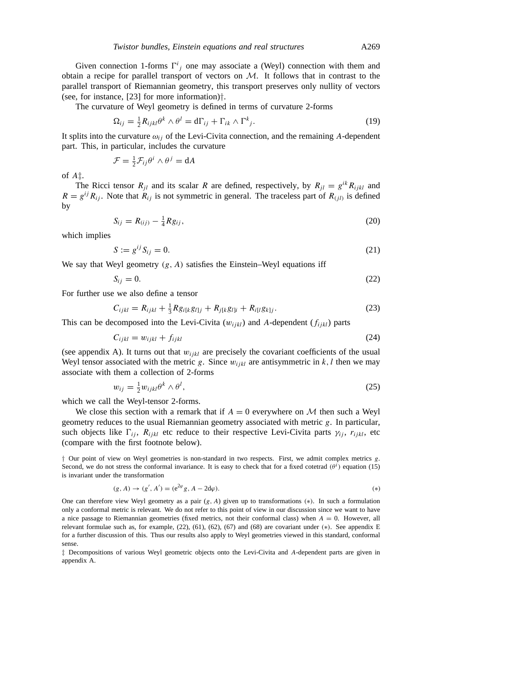Given connection 1-forms  $\Gamma^i_j$  one may associate a (Weyl) connection with them and obtain a recipe for parallel transport of vectors on *M*. It follows that in contrast to the parallel transport of Riemannian geometry, this transport preserves only nullity of vectors (see, for instance, [23] for more information)*†*.

The curvature of Weyl geometry is defined in terms of curvature 2-forms

$$
\Omega_{ij} = \frac{1}{2} R_{ijkl} \theta^k \wedge \theta^l = d\Gamma_{ij} + \Gamma_{ik} \wedge \Gamma^k_{j}.
$$
\n(19)

It splits into the curvature  $\omega_{ij}$  of the Levi-Civita connection, and the remaining *A*-dependent part. This, in particular, includes the curvature

$$
\mathcal{F} = \frac{1}{2} \mathcal{F}_{ij} \theta^i \wedge \theta^j = \mathrm{d} A
$$

of *A‡*.

The Ricci tensor  $R_{jl}$  and its scalar *R* are defined, respectively, by  $R_{jl} = g^{ik} R_{ijkl}$  and  $R = g^{ij} R_{ij}$ . Note that  $R_{ij}$  is not symmetric in general. The traceless part of  $R_{(jl)}$  is defined by

$$
S_{ij} = R_{(ij)} - \frac{1}{4} R g_{ij}, \tag{20}
$$

which implies

$$
S := g^{ij} S_{ij} = 0. \tag{21}
$$

We say that Weyl geometry *(g, A)* satisfies the Einstein–Weyl equations iff

$$
S_{ij} = 0. \tag{22}
$$

For further use we also define a tensor

$$
C_{ijkl} = R_{ijkl} + \frac{1}{3} R g_{i[k} g_{l]j} + R_{j[k} g_{l]i} + R_{i[l} g_{k]j}.
$$
 (23)

This can be decomposed into the Levi-Civita  $(w_{ijkl})$  and A-dependent  $(f_{ijkl})$  parts

$$
C_{ijkl} = w_{ijkl} + f_{ijkl} \tag{24}
$$

(see appendix A). It turns out that  $w_{ijkl}$  are precisely the covariant coefficients of the usual Weyl tensor associated with the metric *g*. Since  $w_{ijkl}$  are antisymmetric in  $k, l$  then we may associate with them a collection of 2-forms

$$
w_{ij} = \frac{1}{2} w_{ijkl} \theta^k \wedge \theta^l, \qquad (25)
$$

which we call the Weyl-tensor 2-forms.

We close this section with a remark that if  $A = 0$  everywhere on  $M$  then such a Weyl geometry reduces to the usual Riemannian geometry associated with metric *g*. In particular, such objects like  $\Gamma_{ij}$ ,  $R_{ijkl}$  etc reduce to their respective Levi-Civita parts  $\gamma_{ij}$ ,  $r_{ijkl}$ , etc (compare with the first footnote below).

*†* Our point of view on Weyl geometries is non-standard in two respects. First, we admit complex metrics *g*. Second, we do not stress the conformal invariance. It is easy to check that for a fixed cotetrad  $(\theta^i)$  equation (15) is invariant under the transformation

$$
(g, A) \to (g', A') = (e^{2\varphi} g, A - 2d\varphi).
$$
 (\*)

One can therefore view Weyl geometry as a pair (*g, A*) given up to transformations *(*∗*)*. In such a formulation only a conformal metric is relevant. We do not refer to this point of view in our discussion since we want to have a nice passage to Riemannian geometries (fixed metrics, not their conformal class) when *A* = 0. However, all relevant formulae such as, for example, (22), (61), (62), (67) and (68) are covariant under *(*∗*)*. See appendix E for a further discussion of this. Thus our results also apply to Weyl geometries viewed in this standard, conformal sense.

*‡* Decompositions of various Weyl geometric objects onto the Levi-Civita and *A*-dependent parts are given in appendix A.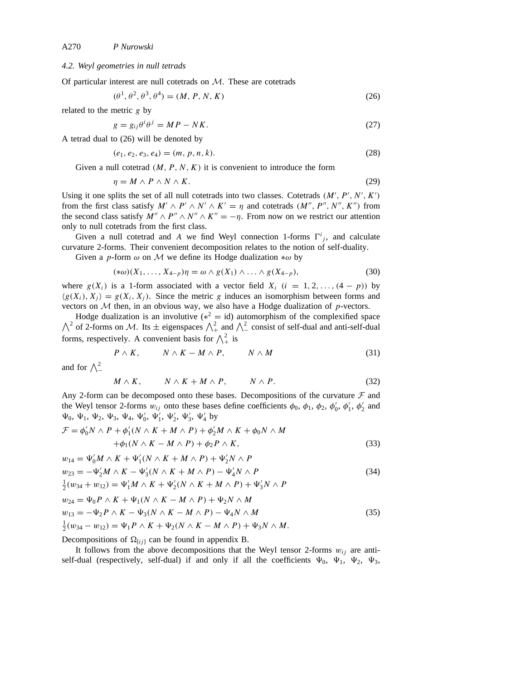# *4.2. Weyl geometries in null tetrads*

Of particular interest are null cotetrads on *M*. These are cotetrads

$$
(\theta^1, \theta^2, \theta^3, \theta^4) = (M, P, N, K)
$$
\n(26)

related to the metric *g* by

$$
g = g_{ij}\theta^i \theta^j = MP - NK. \tag{27}
$$

A tetrad dual to (26) will be denoted by

$$
(e_1, e_2, e_3, e_4) = (m, p, n, k). \tag{28}
$$

Given a null cotetrad  $(M, P, N, K)$  it is convenient to introduce the form

$$
\eta = M \wedge P \wedge N \wedge K. \tag{29}
$$

Using it one splits the set of all null cotetrads into two classes. Cotetrads  $(M', P', N', K')$ from the first class satisfy  $M' \wedge P' \wedge N' \wedge K' = \eta$  and cotetrads  $(M'', P'', N'', K'')$  from the second class satisfy  $M'' \wedge P'' \wedge N'' \wedge K'' = -\eta$ . From now on we restrict our attention only to null cotetrads from the first class.

Given a null cotetrad and *A* we find Weyl connection 1-forms  $\Gamma^{i}{}_{j}$ , and calculate curvature 2-forms. Their convenient decomposition relates to the notion of self-duality.

Given a *p*-form *ω* on *M* we define its Hodge dualization ∗*ω* by

$$
(\ast \omega)(X_1, \ldots, X_{4-p})\eta = \omega \wedge g(X_1) \wedge \ldots \wedge g(X_{4-p}),
$$
\n(30)

where  $g(X_i)$  is a 1-form associated with a vector field  $X_i$   $(i = 1, 2, ..., (4 - p))$  by  $\langle g(X_i), X_i \rangle = g(X_i, X_i)$ . Since the metric *g* induces an isomorphism between forms and vectors on *M* then, in an obvious way, we also have a Hodge dualization of *p*-vectors.

Hodge dualization is an involutive (∗  $\wedge$  $z^2 = id$ ) automorphism of the complexified space <sup>2</sup> of 2-forms on *M*. Its  $\pm$  eigenspaces  $\bigwedge_{+}^{2}$  and  $\bigwedge_{-}^{2}$  consist of self-dual and anti-self-dual forms, respectively. A convenient basis for  $\bigwedge^2_+$  is

$$
P \wedge K, \qquad N \wedge K - M \wedge P, \qquad N \wedge M \tag{31}
$$

and for  $\bigwedge_{-}^{2}$ 

$$
M \wedge K, \qquad N \wedge K + M \wedge P, \qquad N \wedge P. \tag{32}
$$

Any 2-form can be decomposed onto these bases. Decompositions of the curvature *F* and the Weyl tensor 2-forms  $w_{ij}$  onto these bases define coefficients  $\phi_0$ ,  $\phi_1$ ,  $\phi_2$ ,  $\phi'_0$ ,  $\phi'_1$ ,  $\phi'_2$  and  $\Psi_0, \Psi_1, \Psi_2, \Psi_3, \Psi_4, \Psi'_0, \Psi'_1, \Psi'_2, \Psi'_3, \Psi'_4$  by

$$
\mathcal{F} = \phi'_0 N \wedge P + \phi'_1 (N \wedge K + M \wedge P) + \phi'_2 M \wedge K + \phi_0 N \wedge M \n+ \phi_1 (N \wedge K - M \wedge P) + \phi_2 P \wedge K,
$$
\n(33)

$$
w_{14} = \Psi'_0 M \wedge K + \Psi'_1 (N \wedge K + M \wedge P) + \Psi'_2 N \wedge P
$$
  
\n
$$
w_{23} = -\Psi'_2 M \wedge K - \Psi'_3 (N \wedge K + M \wedge P) - \Psi'_4 N \wedge P
$$
\n(34)

$$
\frac{1}{2}(w_{34} + w_{12}) = \Psi_1'M \wedge K + \Psi_2(N \wedge K + M \wedge P) + \Psi_3' N \wedge P
$$

$$
w_{24} = \Psi_0 P \wedge K + \Psi_1 (N \wedge K - M \wedge P) + \Psi_2 N \wedge M
$$
  
\n
$$
w_{13} = -\Psi_2 P \wedge K - \Psi_3 (N \wedge K - M \wedge P) - \Psi_4 N \wedge M
$$
  
\n
$$
\frac{1}{2} (w_{34} - w_{12}) = \Psi_1 P \wedge K + \Psi_2 (N \wedge K - M \wedge P) + \Psi_3 N \wedge M.
$$
\n(35)

Decompositions of  $\Omega_{[ij]}$  can be found in appendix B.

It follows from the above decompositions that the Weyl tensor 2-forms  $w_{ij}$  are antiself-dual (respectively, self-dual) if and only if all the coefficients  $\Psi_0$ ,  $\Psi_1$ ,  $\Psi_2$ ,  $\Psi_3$ ,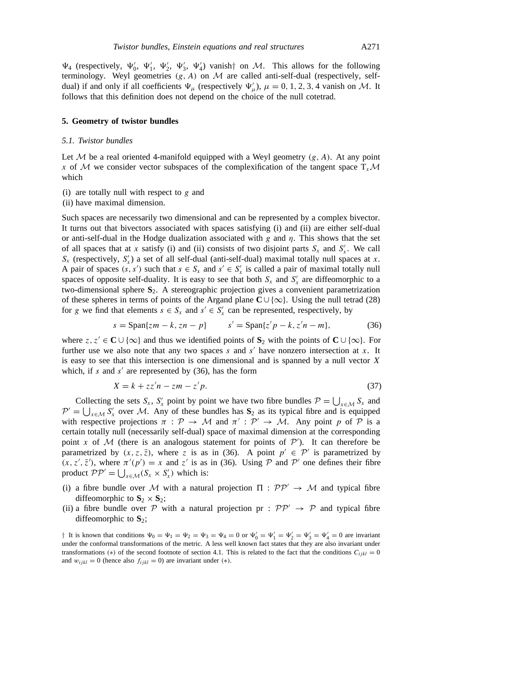$\Psi_4$  (respectively,  $\Psi'_0$ ,  $\Psi'_1$ ,  $\Psi'_2$ ,  $\Psi'_3$ ,  $\Psi'_4$ ) vanish<sup>†</sup> on *M*. This allows for the following terminology. Weyl geometries  $(g, A)$  on  $M$  are called anti-self-dual (respectively, selfdual) if and only if all coefficients  $\Psi_{\mu}$  (respectively  $\Psi'_{\mu}$ ),  $\mu = 0, 1, 2, 3, 4$  vanish on *M*. It follows that this definition does not depend on the choice of the null cotetrad.

#### **5. Geometry of twistor bundles**

#### *5.1. Twistor bundles*

Let  $M$  be a real oriented 4-manifold equipped with a Weyl geometry  $(g, A)$ . At any point *x* of *M* we consider vector subspaces of the complexification of the tangent space  $T_r$ *M* which

- (i) are totally null with respect to *g* and
- (ii) have maximal dimension.

Such spaces are necessarily two dimensional and can be represented by a complex bivector. It turns out that bivectors associated with spaces satisfying (i) and (ii) are either self-dual or anti-self-dual in the Hodge dualization associated with *g* and *η*. This shows that the set of all spaces that at *x* satisfy (i) and (ii) consists of two disjoint parts  $S_x$  and  $S'_x$ . We call  $S_x$  (respectively,  $S'_x$ ) a set of all self-dual (anti-self-dual) maximal totally null spaces at *x*. A pair of spaces  $(s, s')$  such that  $s \in S_x$  and  $s' \in S'_x$  is called a pair of maximal totally null spaces of opposite self-duality. It is easy to see that both  $S_x$  and  $S'_x$  are diffeomorphic to a two-dimensional sphere **S**2. A stereographic projection gives a convenient parametrization of these spheres in terms of points of the Argand plane **C** ∪ {∞}. Using the null tetrad (28) for *g* we find that elements  $s \in S_x$  and  $s' \in S'_x$  can be represented, respectively, by

$$
s = \text{Span}\{zm - k, zn - p\} \qquad s' = \text{Span}\{z'p - k, z'n - m\},\tag{36}
$$

where  $z, z' \in \mathbb{C} \cup \{\infty\}$  and thus we identified points of  $\mathbb{S}_2$  with the points of  $\mathbb{C} \cup \{\infty\}$ . For further use we also note that any two spaces  $s$  and  $s'$  have nonzero intersection at  $x$ . It is easy to see that this intersection is one dimensional and is spanned by a null vector *X* which, if  $s$  and  $s'$  are represented by (36), has the form

$$
X = k + zz'n - zm - z'p. \tag{37}
$$

Collecting the sets *S<sub>x</sub>*, *S<sub>x</sub>* point by point we have two fibre bundles  $P = \bigcup_{x \in \mathcal{M}} S_x$  and  $P' = \bigcup_{x \in \mathcal{M}} S'_x$  over *M*. Any of these bundles has **S**<sub>2</sub> as its typical fibre and is equipped with respective projections  $\pi$ :  $\mathcal{P} \rightarrow \mathcal{M}$  and  $\pi$ <sup>'</sup>:  $\mathcal{P}' \rightarrow \mathcal{M}$ . Any point *p* of  $\mathcal P$  is a certain totally null (necessarily self-dual) space of maximal dimension at the corresponding point *x* of *M* (there is an analogous statement for points of  $P'$ ). It can therefore be parametrized by  $(x, z, \overline{z})$ , where *z* is as in (36). A point  $p' \in \mathcal{P}'$  is parametrized by  $(x, z', \overline{z}')$ , where  $\pi'(p') = x$  and  $z'$  is as in (36). Using *P* and *P'* one defines their fibre product  $\mathcal{PP}' = \bigcup_{x \in \mathcal{M}} (S_x \times S'_x)$  which is:

- (i) a fibre bundle over *M* with a natural projection  $\Pi : \mathcal{PP}' \to \mathcal{M}$  and typical fibre diffeomorphic to  $S_2 \times S_2$ ;
- (ii) a fibre bundle over *P* with a natural projection pr :  $PP' \rightarrow P$  and typical fibre diffeomorphic to **S**2;

*†* It is known that conditions  $\Psi_0 = \Psi_1 = \Psi_2 = \Psi_3 = \Psi_4 = 0$  or  $\Psi'_0 = \Psi'_1 = \Psi'_2 = \Psi'_3 = \Psi'_4 = 0$  are invariant under the conformal transformations of the metric. A less well known fact states that they are also invariant under transformations (\*) of the second footnote of section 4.1. This is related to the fact that the conditions  $C_{ijkl} = 0$ and  $w_{ijkl} = 0$  (hence also  $f_{ijkl} = 0$ ) are invariant under (\*).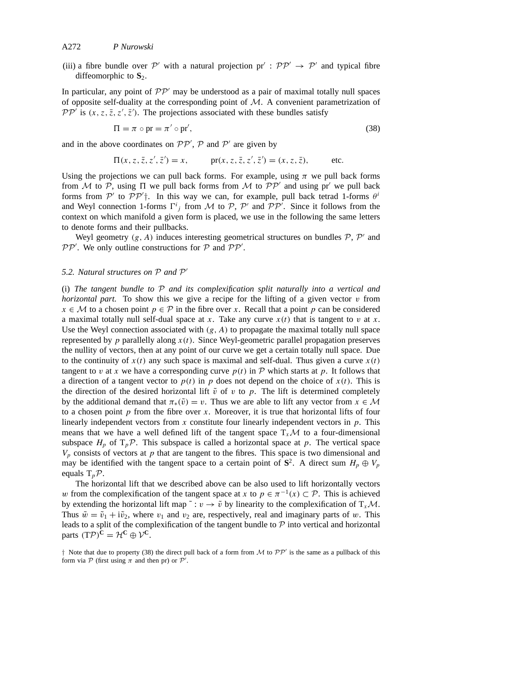(iii) a fibre bundle over  $P'$  with a natural projection  $pr' : PP' \rightarrow P'$  and typical fibre diffeomorphic to  $S_2$ .

In particular, any point of  $\mathcal{PP}'$  may be understood as a pair of maximal totally null spaces of opposite self-duality at the corresponding point of *M*. A convenient parametrization of  $PP^{\prime}$  is  $(x, z, \overline{z}, z', \overline{z}')$ . The projections associated with these bundles satisfy

$$
\Pi = \pi \circ \text{pr} = \pi' \circ \text{pr}',\tag{38}
$$

and in the above coordinates on  $PP'$ ,  $P$  and  $P'$  are given by

$$
\Pi(x, z, \bar{z}, z', \bar{z}') = x,
$$
  $\text{pr}(x, z, \bar{z}, z', \bar{z}') = (x, z, \bar{z}),$  etc.

Using the projections we can pull back forms. For example, using  $\pi$  we pull back forms from *M* to *P*, using  $\Pi$  we pull back forms from *M* to  $\mathcal{PP}'$  and using pr' we pull back forms from  $P'$  to  $PP'$ <sup>†</sup>. In this way we can, for example, pull back tetrad 1-forms  $\theta$ <sup>*i*</sup> and Weyl connection 1-forms  $\Gamma^i_j$  from *M* to *P*, *P*<sup>*i*</sup> and *PP<sup><i>i*</sup>. Since it follows from the context on which manifold a given form is placed, we use in the following the same letters to denote forms and their pullbacks.

Weyl geometry  $(g, A)$  induces interesting geometrical structures on bundles  $\mathcal{P}, \mathcal{P}'$  and  $PP'$ . We only outline constructions for  $P$  and  $PP'$ .

#### *5.2. Natural structures on*  $P$  *and*  $P'$

(i) *The tangent bundle to P and its complexification split naturally into a vertical and horizontal part.* To show this we give a recipe for the lifting of a given vector *v* from *x* ∈ *M* to a chosen point *p* ∈ *P* in the fibre over *x*. Recall that a point *p* can be considered a maximal totally null self-dual space at *x*. Take any curve *x(t)* that is tangent to *v* at *x*. Use the Weyl connection associated with *(g, A)* to propagate the maximal totally null space represented by  $p$  parallelly along  $x(t)$ . Since Weyl-geometric parallel propagation preserves the nullity of vectors, then at any point of our curve we get a certain totally null space. Due to the continuity of  $x(t)$  any such space is maximal and self-dual. Thus given a curve  $x(t)$ tangent to *v* at *x* we have a corresponding curve  $p(t)$  in  $P$  which starts at  $p$ . It follows that a direction of a tangent vector to  $p(t)$  in p does not depend on the choice of  $x(t)$ . This is the direction of the desired horizontal lift  $\tilde{v}$  of  $v$  to  $p$ . The lift is determined completely by the additional demand that  $\pi_*(\tilde{v}) = v$ . Thus we are able to lift any vector from  $x \in \mathcal{M}$ to a chosen point *p* from the fibre over *x*. Moreover, it is true that horizontal lifts of four linearly independent vectors from *x* constitute four linearly independent vectors in *p*. This means that we have a well defined lift of the tangent space  $T<sub>x</sub>M$  to a four-dimensional subspace  $H_p$  of  $T_p \mathcal{P}$ . This subspace is called a horizontal space at  $p$ . The vertical space  $V_p$  consists of vectors at  $p$  that are tangent to the fibres. This space is two dimensional and may be identified with the tangent space to a certain point of  $S^2$ . A direct sum  $H_p \oplus V_p$ equals T*pP*.

The horizontal lift that we described above can be also used to lift horizontally vectors *w* from the complexification of the tangent space at *x* to  $p \in \pi^{-1}(x) \subset \mathcal{P}$ . This is achieved by extending the horizontal lift map  $\tilde{i}: v \to \tilde{v}$  by linearity to the complexification of  $T_xM$ . Thus  $\tilde{w} = \tilde{v}_1 + i\tilde{v}_2$ , where  $v_1$  and  $v_2$  are, respectively, real and imaginary parts of *w*. This leads to a split of the complexification of the tangent bundle to *P* into vertical and horizontal parts  $(T\mathcal{P})^{\mathbf{C}} = \mathcal{H}^{\mathbf{C}} \oplus \mathcal{V}^{\mathbf{C}}$ .

 $\dagger$  Note that due to property (38) the direct pull back of a form from *M* to  $\mathcal{PP}'$  is the same as a pullback of this form via  $P$  (first using  $\pi$  and then pr) or  $P'$ .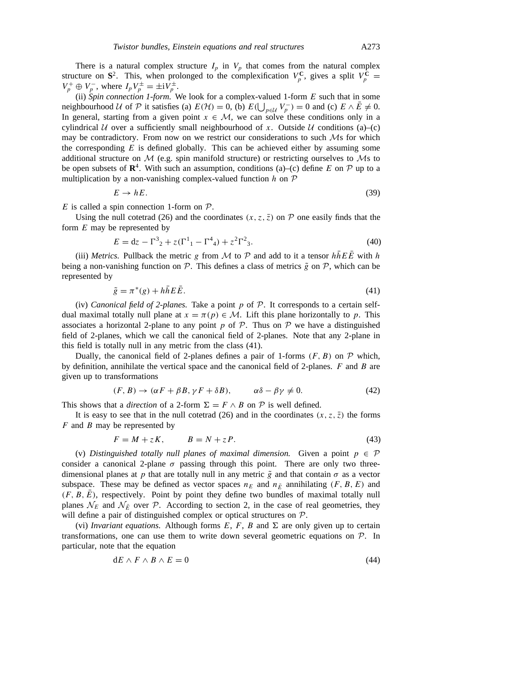There is a natural complex structure  $I_p$  in  $V_p$  that comes from the natural complex structure on  $S^2$ . This, when prolonged to the complexification  $V_p^C$ , gives a split  $V_p^C$  =  $V_p^+ \oplus V_p^-$ , where  $I_p V_p^{\pm} = \pm i V_p^{\pm}$ .

(ii) *Spin connection 1-form.* We look for a complex-valued 1-form *E* such that in some neighbourhood *U* of *P* it satisfies (a)  $E(\mathcal{H}) = 0$ , (b)  $E(\bigcup_{p \in \mathcal{U}} V_p^-) = 0$  and (c)  $E \wedge \overline{E} \neq 0$ . In general, starting from a given point  $x \in M$ , we can solve these conditions only in a cylindrical *U* over a sufficiently small neighbourhood of *x*. Outside *U* conditions (a)–(c) may be contradictory. From now on we restrict our considerations to such *M*s for which the corresponding *E* is defined globally. This can be achieved either by assuming some additional structure on *M* (e.g. spin manifold structure) or restricting ourselves to *M*s to be open subsets of  $\mathbb{R}^4$ . With such an assumption, conditions (a)–(c) define *E* on  $\mathcal P$  up to a multiplication by a non-vanishing complex-valued function *h* on *P*

$$
E \to hE. \tag{39}
$$

*E* is called a spin connection 1-form on *P*.

Using the null cotetrad (26) and the coordinates  $(x, z, \overline{z})$  on  $\mathcal P$  one easily finds that the form *E* may be represented by

$$
E = dz - \Gamma^3{}_2 + z(\Gamma^1{}_1 - \Gamma^4{}_4) + z^2 \Gamma^2{}_3. \tag{40}
$$

(iii) *Metrics.* Pullback the metric *g* from *M* to *P* and add to it a tensor  $h\overline{h}E\overline{E}$  with *h* being a non-vanishing function on  $\mathcal{P}$ . This defines a class of metrics  $\tilde{g}$  on  $\mathcal{P}$ , which can be represented by

$$
\tilde{g} = \pi^*(g) + h\bar{h}E\bar{E}.
$$
\n(41)

(iv) *Canonical field of 2-planes.* Take a point *p* of *P*. It corresponds to a certain selfdual maximal totally null plane at  $x = \pi(p) \in \mathcal{M}$ . Lift this plane horizontally to p. This associates a horizontal 2-plane to any point  $p$  of  $P$ . Thus on  $P$  we have a distinguished field of 2-planes, which we call the canonical field of 2-planes. Note that any 2-plane in this field is totally null in any metric from the class (41).

Dually, the canonical field of 2-planes defines a pair of 1-forms  $(F, B)$  on  $\mathcal P$  which, by definition, annihilate the vertical space and the canonical field of 2-planes. *F* and *B* are given up to transformations

$$
(F, B) \to (\alpha F + \beta B, \gamma F + \delta B), \qquad \alpha \delta - \beta \gamma \neq 0. \tag{42}
$$

This shows that a *direction* of a 2-form  $\Sigma = F \wedge B$  on  $P$  is well defined.

It is easy to see that in the null cotetrad (26) and in the coordinates  $(x, z, \overline{z})$  the forms *F* and *B* may be represented by

$$
F = M + zK, \qquad B = N + zP. \tag{43}
$$

(v) *Distinguished totally null planes of maximal dimension.* Given a point  $p \in \mathcal{P}$ consider a canonical 2-plane  $\sigma$  passing through this point. There are only two threedimensional planes at *p* that are totally null in any metric  $\tilde{g}$  and that contain  $\sigma$  as a vector subspace. These may be defined as vector spaces  $n_E$  and  $n_{\overline{E}}$  annihilating  $(F, B, E)$  and  $(F, B, E)$ , respectively. Point by point they define two bundles of maximal totally null planes  $\mathcal{N}_E$  and  $\mathcal{N}_{\bar{E}}$  over *P*. According to section 2, in the case of real geometries, they will define a pair of distinguished complex or optical structures on *P*.

(vi) *Invariant equations.* Although forms  $E$ ,  $F$ ,  $B$  and  $\Sigma$  are only given up to certain transformations, one can use them to write down several geometric equations on *P*. In particular, note that the equation

$$
dE \wedge F \wedge B \wedge E = 0 \tag{44}
$$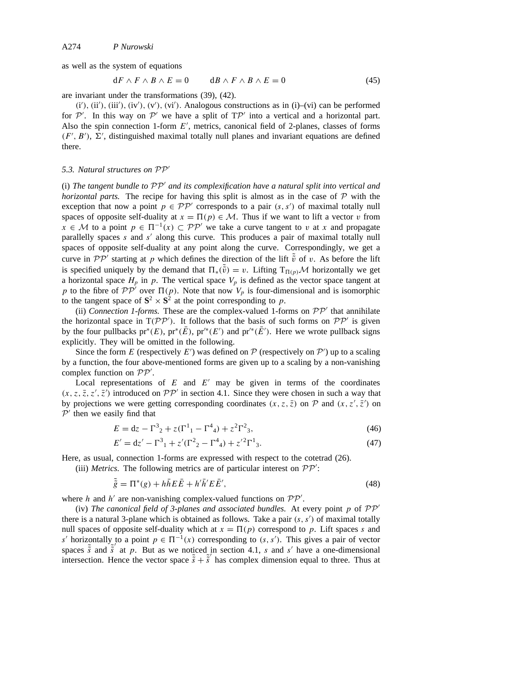as well as the system of equations

$$
dF \wedge F \wedge B \wedge E = 0 \qquad \quad dB \wedge F \wedge B \wedge E = 0 \tag{45}
$$

are invariant under the transformations (39), (42).

(i'), (ii'), (iii'), (iv'), (v'), (vi'). Analogous constructions as in (i)–(vi) can be performed for  $P'$ . In this way on  $P'$  we have a split of  $T P'$  into a vertical and a horizontal part. Also the spin connection 1-form  $E'$ , metrics, canonical field of 2-planes, classes of forms  $(F', B')$ ,  $\Sigma'$ , distinguished maximal totally null planes and invariant equations are defined there.

#### *5.3. Natural structures on*  $PP'$

(i) The tangent bundle to  $\mathcal{PP}'$  and its complexification have a natural split into vertical and *horizontal parts.* The recipe for having this split is almost as in the case of *P* with the exception that now a point  $p \in \mathcal{PP}'$  corresponds to a pair  $(s, s')$  of maximal totally null spaces of opposite self-duality at  $x = \Pi(p) \in \mathcal{M}$ . Thus if we want to lift a vector *v* from *x* ∈ *M* to a point  $p ∈ Π^{-1}(x) ⊂ P P'$  we take a curve tangent to *v* at *x* and propagate parallelly spaces *s* and *s'* along this curve. This produces a pair of maximal totally null spaces of opposite self-duality at any point along the curve. Correspondingly, we get a curve in  $\mathcal{PP}'$  starting at *p* which defines the direction of the lift  $\tilde{v}$  of *v*. As before the lift is specified uniquely by the demand that  $\Pi_*(\tilde{v}) = v$ . Lifting  $T_{\Pi(p)}\mathcal{M}$  horizontally we get a horizontal space  $H_p$  in  $p$ . The vertical space  $V_p$  is defined as the vector space tangent at *p* to the fibre of  $\mathcal{PP}'$  over  $\Pi(p)$ . Note that now  $V_p$  is four-dimensional and is isomorphic to the tangent space of  $S^2 \times S^2$  at the point corresponding to *p*.

(ii) *Connection 1-forms*. These are the complex-valued 1-forms on  $PP'$  that annihilate the horizontal space in  $T(PP')$ . It follows that the basis of such forms on  $PP'$  is given by the four pullbacks  $pr^*(E)$ ,  $pr^*(\overline{E})$ ,  $pr'^*(E')$  and  $pr'^*(\overline{E}')$ . Here we wrote pullback signs explicitly. They will be omitted in the following.

Since the form *E* (respectively *E'*) was defined on  $P$  (respectively on  $P'$ ) up to a scaling by a function, the four above-mentioned forms are given up to a scaling by a non-vanishing complex function on  $PP'$ .

Local representations of  $E$  and  $E'$  may be given in terms of the coordinates  $(x, z, \overline{z}, z', \overline{z}')$  introduced on  $\mathcal{PP}'$  in section 4.1. Since they were chosen in such a way that by projections we were getting corresponding coordinates  $(x, z, \overline{z})$  on  $P$  and  $(x, z', \overline{z}')$  on  $P'$  then we easily find that

$$
E = dz - \Gamma^3{}_2 + z(\Gamma^1{}_1 - \Gamma^4{}_4) + z^2 \Gamma^2{}_3,
$$
\n(46)

$$
E' = dz' - \Gamma^3{}_1 + z'(\Gamma^2{}_2 - \Gamma^4{}_4) + z'^2 \Gamma^1{}_3. \tag{47}
$$

Here, as usual, connection 1-forms are expressed with respect to the cotetrad (26).

(iii) *Metrics*. The following metrics are of particular interest on  $PP'$ :

$$
\tilde{\tilde{g}} = \Pi^*(g) + h\bar{h}E\bar{E} + h'\bar{h}'E\bar{E}',\tag{48}
$$

where *h* and *h'* are non-vanishing complex-valued functions on  $PP'$ .

(iv) *The canonical field of 3-planes and associated bundles.* At every point  $p$  of  $PP'$ there is a natural 3-plane which is obtained as follows. Take a pair  $(s, s')$  of maximal totally null spaces of opposite self-duality which at  $x = \Pi(p)$  correspond to p. Lift spaces s and *s'* horizontally to a point  $p \in \Pi^{-1}(x)$  corresponding to  $(s, s')$ . This gives a pair of vector spaces  $\tilde{s}$  and  $\tilde{s}'$  at *p*. But as we noticed in section 4.1, *s* and *s'* have a one-dimensional intersection. Hence the vector space  $\tilde{s} + \tilde{s}'$  has complex dimension equal to three. Thus at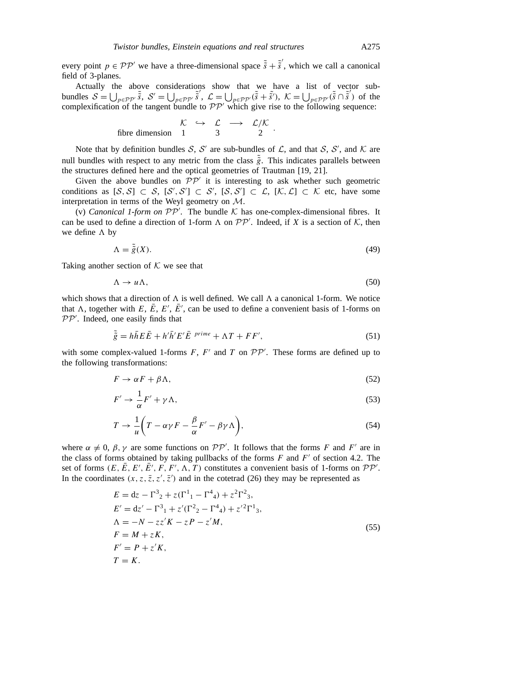every point  $p \in \mathcal{PP}'$  we have a three-dimensional space  $\tilde{s} + \tilde{s}'$ , which we call a canonical field of 3-planes.

Actually the above considerations show that we have a list of vector subbundles  $S = \bigcup_{p \in \mathcal{PP'}} \tilde{s}$ ,  $S' = \bigcup_{p \in \mathcal{PP'}} \tilde{s}'$ ,  $\mathcal{L} = \bigcup_{p \in \mathcal{PP'}} (\tilde{s} + \tilde{s}')$ ,  $\mathcal{K} = \bigcup_{p \in \mathcal{PP'}} (\tilde{s} - \tilde{s}')$  of the complexification of the tangent bundle to  $\mathcal{PP}'$  which give rise to the following sequence:

$$
\begin{array}{rcl}\n\mathcal{K} & \hookrightarrow & \mathcal{L} & \longrightarrow & \mathcal{L}/\mathcal{K} \\
\text{fibre dimension} & 1 & 3 & 2\n\end{array}.
$$

Note that by definition bundles *S*, *S'* are sub-bundles of *L*, and that *S*, *S'*, and *K* are null bundles with respect to any metric from the class  $\tilde{g}$ . This indicates parallels between the structures defined here and the optical geometries of Trautman [19, 21].

Given the above bundles on  $\mathcal{PP}'$  it is interesting to ask whether such geometric conditions as  $[\mathcal{S}, \mathcal{S}] \subset \mathcal{S}, [\mathcal{S}', \mathcal{S}'] \subset \mathcal{S}', [\mathcal{S}, \mathcal{S}'] \subset \mathcal{L}, [\mathcal{K}, \mathcal{L}] \subset \mathcal{K}$  etc, have some interpretation in terms of the Weyl geometry on *M*.

(v) *Canonical 1-form on*  $\mathcal{PP}'$ . The bundle  $\mathcal K$  has one-complex-dimensional fibres. It can be used to define a direction of 1-form  $\Lambda$  on  $\mathcal{PP}'$ . Indeed, if *X* is a section of  $\mathcal{K}$ , then we define  $\Lambda$  by

$$
\Lambda = \tilde{\tilde{g}}(X). \tag{49}
$$

Taking another section of *K* we see that

$$
\Lambda \to u\Lambda,\tag{50}
$$

which shows that a direction of  $\Lambda$  is well defined. We call  $\Lambda$  a canonical 1-form. We notice that  $\Lambda$ , together with *E*,  $\overline{E}$ ,  $E'$ ,  $\overline{E}'$ , can be used to define a convenient basis of 1-forms on PP'. Indeed, one easily finds that

$$
\tilde{\tilde{g}} = h\bar{h}E\bar{E} + h'\bar{h}'E'\bar{E}^{prime} + \Lambda T + FF',\tag{51}
$$

with some complex-valued 1-forms  $F$ ,  $F'$  and  $T$  on  $\mathcal{PP}'$ . These forms are defined up to the following transformations:

$$
F \to \alpha F + \beta \Lambda, \tag{52}
$$

$$
F' \to \frac{1}{\alpha} F' + \gamma \Lambda,\tag{53}
$$

$$
T \to \frac{1}{u} \left( T - \alpha \gamma F - \frac{\beta}{\alpha} F' - \beta \gamma \Lambda \right),\tag{54}
$$

where  $\alpha \neq 0$ ,  $\beta$ ,  $\gamma$  are some functions on  $\mathcal{PP}'$ . It follows that the forms *F* and *F'* are in the class of forms obtained by taking pullbacks of the forms  $F$  and  $F'$  of section 4.2. The set of forms  $(E, \overline{E}, E', \overline{E'}, F, F', \Lambda, T)$  constitutes a convenient basis of 1-forms on  $\mathcal{PP}'$ . In the coordinates  $(x, z, \overline{z}, z', \overline{z}')$  and in the cotetrad (26) they may be represented as

$$
E = dz - \Gamma^{3}{}_{2} + z(\Gamma^{1}{}_{1} - \Gamma^{4}{}_{4}) + z^{2}\Gamma^{2}{}_{3},
$$
  
\n
$$
E' = dz' - \Gamma^{3}{}_{1} + z'(\Gamma^{2}{}_{2} - \Gamma^{4}{}_{4}) + z'^{2}\Gamma^{1}{}_{3},
$$
  
\n
$$
\Lambda = -N - zz'K - zP - z'M,
$$
  
\n
$$
F = M + zK,
$$
  
\n
$$
F' = P + z'K,
$$
  
\n
$$
T = K.
$$
  
\n(55)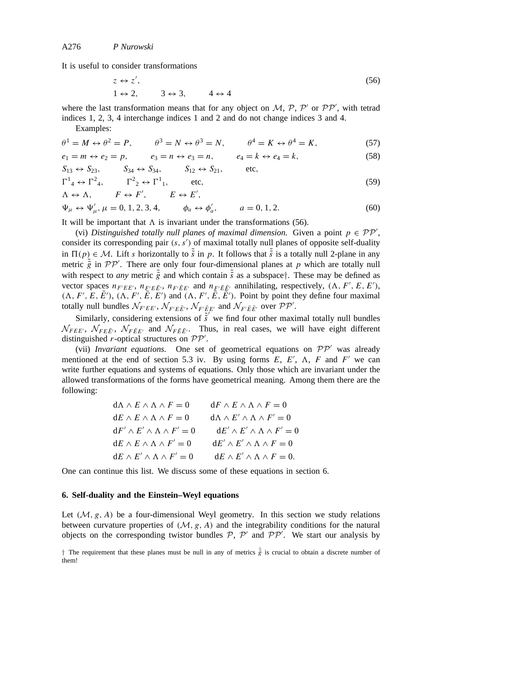It is useful to consider transformations

$$
z \leftrightarrow z',
$$
  
\n
$$
1 \leftrightarrow 2, \qquad 3 \leftrightarrow 3, \qquad 4 \leftrightarrow 4
$$
\n(56)

where the last transformation means that for any object on  $M$ ,  $P$ ,  $P'$  or  $PP'$ , with tetrad indices 1, 2, 3, 4 interchange indices 1 and 2 and do not change indices 3 and 4. Examples:

$$
\theta^1 = M \leftrightarrow \theta^2 = P, \qquad \theta^3 = N \leftrightarrow \theta^3 = N, \qquad \theta^4 = K \leftrightarrow \theta^4 = K,\tag{57}
$$

$$
e_1 = m \leftrightarrow e_2 = p, \qquad e_3 = n \leftrightarrow e_3 = n, \qquad e_4 = k \leftrightarrow e_4 = k,\tag{58}
$$

$$
S_{13} \leftrightarrow S_{23}
$$
,  $S_{34} \leftrightarrow S_{34}$ ,  $S_{12} \leftrightarrow S_{21}$ , etc,  
\n $\Gamma^1_4 \leftrightarrow \Gamma^2_4$ ,  $\Gamma^2_2 \leftrightarrow \Gamma^1_1$ , etc, (59)

$$
\Lambda \leftrightarrow \Lambda, \qquad F \leftrightarrow F', \qquad E \leftrightarrow E',
$$
  
\n
$$
\Psi_{\mu} \leftrightarrow \Psi'_{\mu}, \mu = 0, 1, 2, 3, 4, \qquad \phi_a \leftrightarrow \phi'_a, \qquad a = 0, 1, 2.
$$
\n(60)

It will be important that  $\Lambda$  is invariant under the transformations (56).

(vi) *Distinguished totally null planes of maximal dimension.* Given a point  $p \in PP'$ , consider its corresponding pair  $(s, s')$  of maximal totally null planes of opposite self-duality in  $\Pi(p) \in \mathcal{M}$ . Lift *s* horizontally to  $\tilde{s}$  in *p*. It follows that  $\tilde{s}$  is a totally null 2-plane in any metric  $\tilde{\tilde{g}}$  in  $\mathcal{PP}'$ . There are only four four-dimensional planes at *p* which are totally null with respect to *any* metric  $\tilde{g}$  and which contain  $\tilde{s}$  as a subspace<sup>†</sup>. These may be defined as vector spaces  $n_{F'EE'}$ ,  $n_{F'E\overline{E}'}$ ,  $n_{F'\overline{E}E'}$  and  $n_{F'\overline{E}\overline{E}'}$  annihilating, respectively,  $(\Lambda, F', E, E')$ ,  $(\Lambda, F', E, \overline{E'})$ ,  $(\Lambda, F', \overline{E}, \overline{E'})$  and  $(\Lambda, F', \overline{E}, \overline{E'})$ . Point by point they define four maximal totally null bundles  $\mathcal{N}_{F'EE}$ ,  $\mathcal{N}_{F'E}$ ,  $\mathcal{N}_{F'E\bar{E}'}$  and  $\mathcal{N}_{F'\bar{E}\bar{E}'}$  over  $\mathcal{PP}'$ .

Similarly, considering extensions of  $\tilde{s}^{\prime}$  we find four other maximal totally null bundles  $\mathcal{N}_{FEE}$ ,  $\mathcal{N}_{FEE}$ ,  $\mathcal{N}_{FEE}$  and  $\mathcal{N}_{FEE}$ . Thus, in real cases, we will have eight different distinguished *r*-optical structures on  $PP'$ .

(vii) *Invariant equations*. One set of geometrical equations on  $PP'$  was already mentioned at the end of section 5.3 iv. By using forms  $E, E', \Lambda, F$  and  $F'$  we can write further equations and systems of equations. Only those which are invariant under the allowed transformations of the forms have geometrical meaning. Among them there are the following:

| $d\Lambda \wedge E \wedge \Lambda \wedge F = 0$ | $dF \wedge E \wedge \Lambda \wedge F = 0$         |
|-------------------------------------------------|---------------------------------------------------|
| $dE \wedge E \wedge \Lambda \wedge F = 0$       | $d\Lambda \wedge E' \wedge \Lambda \wedge F' = 0$ |
| $dF' \wedge E' \wedge \Lambda \wedge F' = 0$    | $dE' \wedge E' \wedge \Lambda \wedge F' = 0$      |
| $dE \wedge E \wedge \Lambda \wedge F' = 0$      | $dE' \wedge E' \wedge \Lambda \wedge F = 0$       |
| $dE \wedge E' \wedge \Lambda \wedge F' = 0$     | $dE \wedge E' \wedge \wedge \wedge F = 0.$        |

One can continue this list. We discuss some of these equations in section 6.

# **6. Self-duality and the Einstein–Weyl equations**

Let  $(M, g, A)$  be a four-dimensional Weyl geometry. In this section we study relations between curvature properties of  $(M, g, A)$  and the integrability conditions for the natural objects on the corresponding twistor bundles  $P$ ,  $P'$  and  $PP'$ . We start our analysis by

 $\dagger$  The requirement that these planes must be null in any of metrics  $\tilde{g}$  is crucial to obtain a discrete number of them!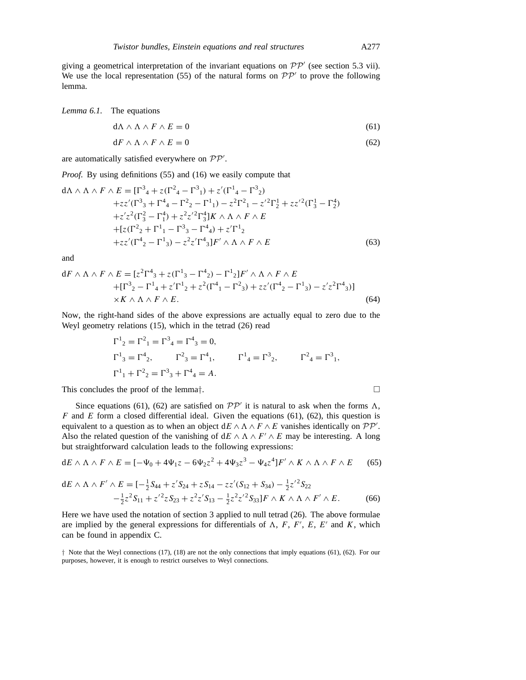giving a geometrical interpretation of the invariant equations on  $\mathcal{PP}'$  (see section 5.3 vii). We use the local representation (55) of the natural forms on  $\mathcal{PP}'$  to prove the following lemma.

*Lemma 6.1.* The equations

$$
d\Lambda \wedge \Lambda \wedge F \wedge E = 0 \tag{61}
$$

$$
dF \wedge \Lambda \wedge F \wedge E = 0 \tag{62}
$$

are automatically satisfied everywhere on  $PP'$ .

*Proof.* By using definitions (55) and (16) we easily compute that

$$
d\Lambda \wedge \Lambda \wedge F \wedge E = [\Gamma^3{}_4 + z(\Gamma^2{}_4 - \Gamma^3{}_1) + z'(\Gamma^1{}_4 - \Gamma^3{}_2) + zz'(\Gamma^3{}_3 + \Gamma^4{}_4 - \Gamma^2{}_2 - \Gamma^1{}_1) - z^2\Gamma^2{}_1 - z'^2\Gamma^1_2 + zz'^2(\Gamma^1_3 - \Gamma^4{}_2) + z'z^2(\Gamma^2_3 - \Gamma^4{}_1) + z^2z'^2\Gamma^4{}_3]K \wedge \Lambda \wedge F \wedge E + [z(\Gamma^2{}_2 + \Gamma^1{}_1 - \Gamma^3{}_3 - \Gamma^4{}_4) + z'\Gamma^1{}_2 + zz'(\Gamma^4{}_2 - \Gamma^1{}_3) - z^2z'\Gamma^4{}_3]F' \wedge \Lambda \wedge F \wedge E
$$
 (63)

and

$$
dF \wedge \Lambda \wedge F \wedge E = [z^2 \Gamma^4{}_3 + z(\Gamma^1{}_3 - \Gamma^4{}_2) - \Gamma^1{}_2]F' \wedge \Lambda \wedge F \wedge E + [\Gamma^3{}_2 - \Gamma^1{}_4 + z'\Gamma^1{}_2 + z^2(\Gamma^4{}_1 - \Gamma^2{}_3) + zz'(\Gamma^4{}_2 - \Gamma^1{}_3) - z'z^2\Gamma^4{}_3)] \times K \wedge \Lambda \wedge F \wedge E.
$$
 (64)

Now, the right-hand sides of the above expressions are actually equal to zero due to the Weyl geometry relations (15), which in the tetrad (26) read

$$
\Gamma^{1}_{2} = \Gamma^{2}_{1} = \Gamma^{3}_{4} = \Gamma^{4}_{3} = 0,
$$
  
\n
$$
\Gamma^{1}_{3} = \Gamma^{4}_{2}, \qquad \Gamma^{2}_{3} = \Gamma^{4}_{1}, \qquad \Gamma^{1}_{4} = \Gamma^{3}_{2}, \qquad \Gamma^{2}_{4} = \Gamma^{3}_{1},
$$
  
\n
$$
\Gamma^{1}_{1} + \Gamma^{2}_{2} = \Gamma^{3}_{3} + \Gamma^{4}_{4} = A.
$$

This concludes the proof of the lemma*†*.

Since equations (61), (62) are satisfied on  $\mathcal{PP}'$  it is natural to ask when the forms  $\Lambda$ , *F* and *E* form a closed differential ideal. Given the equations (61), (62), this question is equivalent to a question as to when an object  $dE \wedge \Delta \wedge F \wedge E$  vanishes identically on  $\mathcal{PP}'$ . Also the related question of the vanishing of  $dE \wedge \wedge \wedge F' \wedge E$  may be interesting. A long but straightforward calculation leads to the following expressions:

$$
dE \wedge \Lambda \wedge F \wedge E = [-\Psi_0 + 4\Psi_1 z - 6\Psi_2 z^2 + 4\Psi_3 z^3 - \Psi_4 z^4] F' \wedge K \wedge \Lambda \wedge F \wedge E \qquad (65)
$$

$$
dE \wedge \Lambda \wedge F' \wedge E = [-\frac{1}{2}S_{44} + z'S_{24} + zS_{14} - zz'(S_{12} + S_{34}) - \frac{1}{2}z'^2S_{22} -\frac{1}{2}z^2S_{11} + z'^2zS_{23} + z^2z'S_{13} - \frac{1}{2}z^2z'^2S_{33}]F \wedge K \wedge \Lambda \wedge F' \wedge E.
$$
 (66)

Here we have used the notation of section 3 applied to null tetrad (26). The above formulae are implied by the general expressions for differentials of  $\Lambda$ ,  $F$ ,  $F'$ ,  $E$ ,  $E'$  and  $K$ , which can be found in appendix C.

*†* Note that the Weyl connections (17), (18) are not the only connections that imply equations (61), (62). For our purposes, however, it is enough to restrict ourselves to Weyl connections.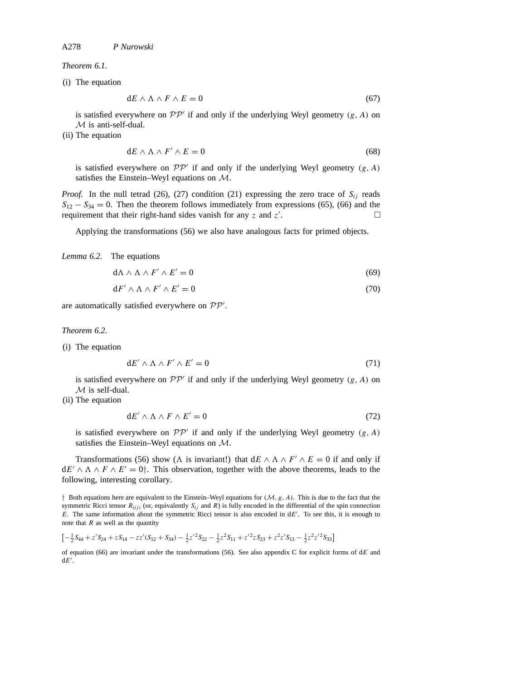*Theorem 6.1.*

(i) The equation

$$
dE \wedge \Lambda \wedge F \wedge E = 0 \tag{67}
$$

is satisfied everywhere on  $\mathcal{PP}'$  if and only if the underlying Weyl geometry  $(g, A)$  on *M* is anti-self-dual.

(ii) The equation

$$
dE \wedge \Lambda \wedge F' \wedge E = 0 \tag{68}
$$

is satisfied everywhere on  $\mathcal{PP}'$  if and only if the underlying Weyl geometry  $(g, A)$ satisfies the Einstein–Weyl equations on *M*.

*Proof.* In the null tetrad (26), (27) condition (21) expressing the zero trace of  $S_{ij}$  reads  $S_{12} - S_{34} = 0$ . Then the theorem follows immediately from expressions (65), (66) and the requirement that their right-hand sides vanish for any  $z$  and  $z'$ . . — Процессиональные производствование и производствование и производствование и производствование и производс<br>В 1990 году в 1990 году в 1990 году в 1990 году в 1990 году в 1990 году в 1990 году в 1990 году в 1990 году в<br>

Applying the transformations (56) we also have analogous facts for primed objects.

*Lemma 6.2.* The equations

 $d\Lambda \wedge \Lambda \wedge F' \wedge E' = 0$  (69)

$$
dF' \wedge \Lambda \wedge F' \wedge E' = 0 \tag{70}
$$

are automatically satisfied everywhere on  $PP'$ .

*Theorem 6.2.*

(i) The equation

$$
dE' \wedge \Lambda \wedge F' \wedge E' = 0 \tag{71}
$$

is satisfied everywhere on  $\mathcal{PP}'$  if and only if the underlying Weyl geometry  $(g, A)$  on *M* is self-dual.

(ii) The equation

$$
dE' \wedge \Lambda \wedge F \wedge E' = 0 \tag{72}
$$

is satisfied everywhere on  $\mathcal{PP}'$  if and only if the underlying Weyl geometry  $(g, A)$ satisfies the Einstein–Weyl equations on *M*.

Transformations (56) show ( $\Lambda$  is invariant!) that  $dE \wedge \Lambda \wedge F' \wedge E = 0$  if and only if  $dE' \wedge \wedge \wedge F \wedge E' = 0$ <sup>†</sup>. This observation, together with the above theorems, leads to the following, interesting corollary.

*†* Both equations here are equivalent to the Einstein–Weyl equations for *(M, g, A)*. This is due to the fact that the symmetric Ricci tensor  $R_{(ij)}$  (or, equivalently  $S_{ij}$  and  $R$ ) is fully encoded in the differential of the spin connection *E*. The same information about the symmetric Ricci tensor is also encoded in dE'. To see this, it is enough to note that *R* as well as the quantity

 $\left[-\frac{1}{2}S_{44} + z'S_{24} + zS_{14} - zz'(S_{12} + S_{34}) - \frac{1}{2}z'^2S_{22} - \frac{1}{2}z^2S_{11} + z'^2zS_{23} + z^2z'S_{13} - \frac{1}{2}z^2z'^2S_{33}\right]$ 

of equation (66) are invariant under the transformations (56). See also appendix C for explicit forms of d*E* and  $dE'$ .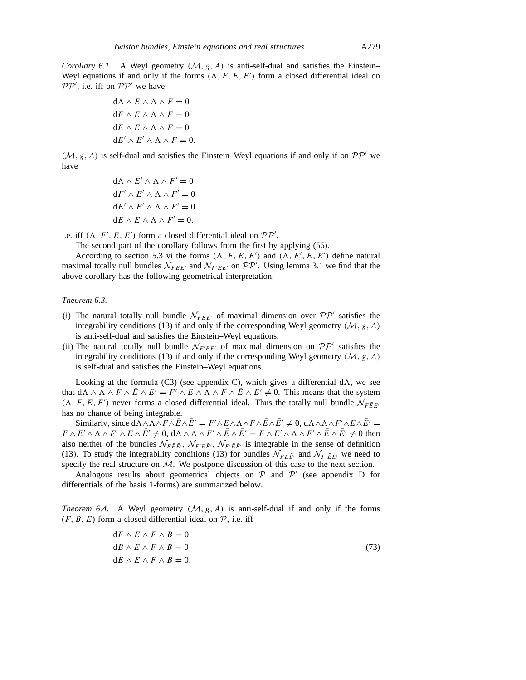*Corollary 6.1.* A Weyl geometry  $(M, g, A)$  is anti-self-dual and satisfies the Einstein– Weyl equations if and only if the forms  $(\Lambda, F, E, E')$  form a closed differential ideal on  $PP'$ , i.e. iff on  $PP'$  we have

$$
d\Lambda \wedge E \wedge \Lambda \wedge F = 0
$$
  

$$
dF \wedge E \wedge \Lambda \wedge F = 0
$$
  

$$
dE \wedge E \wedge \Lambda \wedge F = 0
$$
  

$$
dE' \wedge E' \wedge \Lambda \wedge F = 0.
$$

 $(M, g, A)$  is self-dual and satisfies the Einstein–Weyl equations if and only if on  $\mathcal{PP}'$  we have

$$
d\Lambda \wedge E' \wedge \Lambda \wedge F' = 0
$$
  
\n
$$
dF' \wedge E' \wedge \Lambda \wedge F' = 0
$$
  
\n
$$
dE' \wedge E' \wedge \Lambda \wedge F' = 0
$$
  
\n
$$
dE \wedge E \wedge \Lambda \wedge F' = 0,
$$

i.e. if  $(\Lambda, F', E, E')$  form a closed differential ideal on  $\mathcal{PP}'$ .

The second part of the corollary follows from the first by applying (56).

According to section 5.3 vi the forms  $(\Lambda, F, E, E')$  and  $(\Lambda, F', E, E')$  define natural maximal totally null bundles  $\mathcal{N}_{FEE'}$  and  $\mathcal{N}_{F'EE'}$  on  $\mathcal{PP}'$ . Using lemma 3.1 we find that the above corollary has the following geometrical interpretation.

#### *Theorem 6.3.*

- (i) The natural totally null bundle  $\mathcal{N}_{FEE'}$  of maximal dimension over  $\mathcal{PP}'$  satisfies the integrability conditions (13) if and only if the corresponding Weyl geometry  $(M, g, A)$ is anti-self-dual and satisfies the Einstein–Weyl equations.
- (ii) The natural totally null bundle  $\mathcal{N}_{F'EE'}$  of maximal dimension on  $\mathcal{PP}'$  satisfies the integrability conditions (13) if and only if the corresponding Weyl geometry *(M, g, A)* is self-dual and satisfies the Einstein–Weyl equations.

Looking at the formula (C3) (see appendix C), which gives a differential  $d\Lambda$ , we see that  $d\Lambda \wedge \Lambda \wedge F \wedge \overline{E} \wedge E' = F' \wedge E \wedge \Lambda \wedge F \wedge \overline{E} \wedge E' \neq 0$ . This means that the system  $(A, F, \overline{E}, E')$  never forms a closed differential ideal. Thus the totally null bundle  $N_{F\overline{E}E'}$ has no chance of being integrable.

Similarly, since  $d\Lambda \wedge \Lambda \wedge F \wedge \bar{E} \wedge \bar{E}' = F' \wedge E \wedge \Lambda \wedge F \wedge \bar{E} \wedge \bar{E}' \neq 0$ ,  $d\Lambda \wedge \Lambda \wedge F' \wedge E \wedge \bar{E}' = 0$  $F \wedge E' \wedge \Lambda \wedge F' \wedge E \wedge \overline{E'} \neq 0$ , d $\Lambda \wedge \Lambda \wedge F' \wedge \overline{E} \wedge \overline{E'} = F \wedge E' \wedge \Lambda \wedge F' \wedge \overline{E} \wedge \overline{E'} \neq 0$  then also neither of the bundles  $\mathcal{N}_{F\bar{E}\bar{E}'}$ ,  $\mathcal{N}_{F'\bar{E}\bar{E}'}$ ,  $\mathcal{N}_{F'\bar{E}\bar{E}'}$  is integrable in the sense of definition (13). To study the integrability conditions (13) for bundles  $\mathcal{N}_{FE\bar{E}'}$  and  $\mathcal{N}_{F'\bar{E}E'}$  we need to specify the real structure on  $M$ . We postpone discussion of this case to the next section.

Analogous results about geometrical objects on  $P$  and  $P'$  (see appendix D for differentials of the basis 1-forms) are summarized below.

*Theorem 6.4.* A Weyl geometry  $(M, g, A)$  is anti-self-dual if and only if the forms  $(F, B, E)$  form a closed differential ideal on  $P$ , i.e. iff

$$
dF \wedge E \wedge F \wedge B = 0
$$
  
\n
$$
dB \wedge E \wedge F \wedge B = 0
$$
  
\n
$$
dE \wedge E \wedge F \wedge B = 0.
$$
\n(73)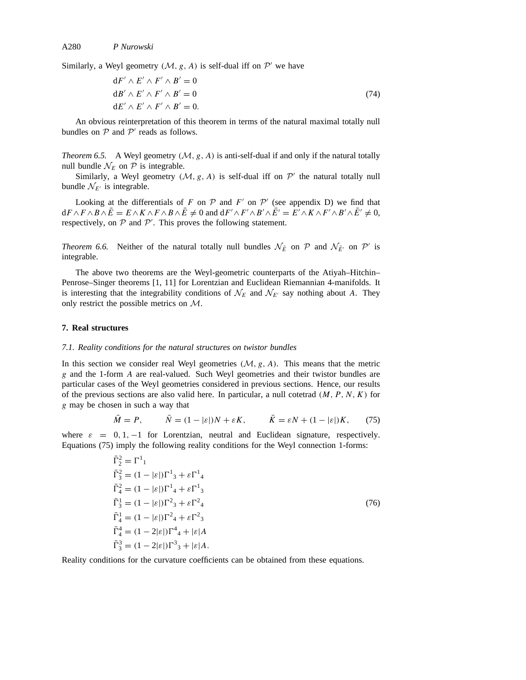Similarly, a Weyl geometry  $(M, g, A)$  is self-dual iff on  $\mathcal{P}'$  we have

$$
dF' \wedge E' \wedge F' \wedge B' = 0
$$
  
\n
$$
dB' \wedge E' \wedge F' \wedge B' = 0
$$
  
\n
$$
dE' \wedge E' \wedge F' \wedge B' = 0.
$$
\n(74)

An obvious reinterpretation of this theorem in terms of the natural maximal totally null bundles on  $P$  and  $P'$  reads as follows.

*Theorem 6.5.* A Weyl geometry  $(M, g, A)$  is anti-self-dual if and only if the natural totally null bundle  $\mathcal{N}_E$  on  $\mathcal P$  is integrable.

Similarly, a Weyl geometry  $(M, g, A)$  is self-dual iff on  $\mathcal{P}'$  the natural totally null bundle  $\mathcal{N}_{E'}$  is integrable.

Looking at the differentials of *F* on  $P$  and  $F'$  on  $P'$  (see appendix D) we find that  $dF \wedge F \wedge B \wedge \bar{E} = E \wedge K \wedge F \wedge B \wedge \bar{E} \neq 0$  and  $dF' \wedge F' \wedge B' \wedge \bar{E'} = \overline{E'} \wedge K \wedge F' \wedge B' \wedge \bar{E'} \neq 0$ , respectively, on  $P$  and  $P'$ . This proves the following statement.

*Theorem 6.6.* Neither of the natural totally null bundles  $\mathcal{N}_{\bar{E}}$  on  $\mathcal{P}$  and  $\mathcal{N}_{\bar{E'}}$  on  $\mathcal{P}'$  is integrable.

The above two theorems are the Weyl-geometric counterparts of the Atiyah–Hitchin– Penrose–Singer theorems [1, 11] for Lorentzian and Euclidean Riemannian 4-manifolds. It is interesting that the integrability conditions of  $\mathcal{N}_E$  and  $\mathcal{N}_{E'}$  say nothing about *A*. They only restrict the possible metrics on *M*.

#### **7. Real structures**

#### *7.1. Reality conditions for the natural structures on twistor bundles*

In this section we consider real Weyl geometries  $(M, g, A)$ . This means that the metric *g* and the 1-form *A* are real-valued. Such Weyl geometries and their twistor bundles are particular cases of the Weyl geometries considered in previous sections. Hence, our results of the previous sections are also valid here. In particular, a null cotetrad  $(M, P, N, K)$  for *g* may be chosen in such a way that

$$
\bar{M} = P, \qquad \bar{N} = (1 - |\varepsilon|)N + \varepsilon K, \qquad \bar{K} = \varepsilon N + (1 - |\varepsilon|)K, \qquad (75)
$$

where  $\varepsilon = 0, 1, -1$  for Lorentzian, neutral and Euclidean signature, respectively. Equations (75) imply the following reality conditions for the Weyl connection 1-forms:

$$
\begin{aligned}\n\bar{\Gamma}_2^2 &= \Gamma^1{}_1 \\
\bar{\Gamma}_3^2 &= (1 - |\varepsilon|) \Gamma^1{}_3 + \varepsilon \Gamma^1{}_4 \\
\bar{\Gamma}_4^2 &= (1 - |\varepsilon|) \Gamma^1{}_4 + \varepsilon \Gamma^1{}_3 \\
\bar{\Gamma}_3^1 &= (1 - |\varepsilon|) \Gamma^2{}_3 + \varepsilon \Gamma^2{}_4 \\
\bar{\Gamma}_4^1 &= (1 - |\varepsilon|) \Gamma^2{}_4 + \varepsilon \Gamma^2{}_3 \\
\bar{\Gamma}_4^4 &= (1 - 2|\varepsilon|) \Gamma^4{}_4 + |\varepsilon| A \\
\bar{\Gamma}_3^3 &= (1 - 2|\varepsilon|) \Gamma^3{}_3 + |\varepsilon| A.\n\end{aligned}
$$
\n(76)

Reality conditions for the curvature coefficients can be obtained from these equations.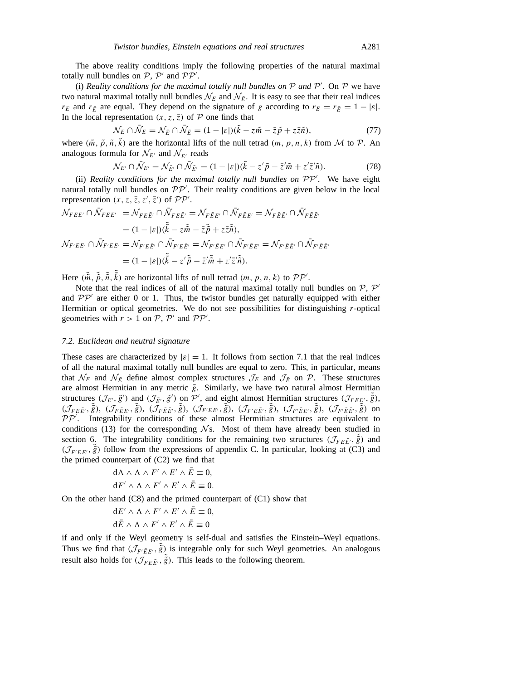The above reality conditions imply the following properties of the natural maximal totally null bundles on  $P$ ,  $P'$  and  $P P'$ .

(i) *Reality conditions for the maximal totally null bundles on*  $P$  *and*  $P'$ *. On*  $P$  *we have* two natural maximal totally null bundles  $\mathcal{N}_E$  and  $\mathcal{N}_{\bar{E}}$ . It is easy to see that their real indices *r<sub>E</sub>* and *r<sub>E</sub>* are equal. They depend on the signature of *g* according to  $r_E = r_{\bar{E}} = 1 - |\varepsilon|$ . In the local representation  $(x, z, \overline{z})$  of  $P$  one finds that

$$
\mathcal{N}_E \cap \bar{\mathcal{N}}_E = \mathcal{N}_{\bar{E}} \cap \bar{\mathcal{N}}_{\bar{E}} = (1 - |\varepsilon|)(\tilde{k} - z\tilde{m} - \bar{z}\tilde{p} + z\bar{z}\tilde{n}),\tag{77}
$$

where  $(\tilde{m}, \tilde{p}, \tilde{n}, k)$  are the horizontal lifts of the null tetrad  $(m, p, n, k)$  from M to P. An analogous formula for  $\mathcal{N}_{E'}$  and  $\mathcal{N}_{\bar{E}'}$  reads

$$
\mathcal{N}_{E'} \cap \bar{\mathcal{N}}_{E'} = \mathcal{N}_{\bar{E'}} \cap \bar{\mathcal{N}}_{\bar{E'}} = (1 - |\varepsilon|)(\tilde{k} - z'\tilde{p} - \bar{z}'\tilde{m} + z'\bar{z}'\tilde{n}).\tag{78}
$$

(ii) *Reality conditions for the maximal totally null bundles on*  $PP'$ *. We have eight* natural totally null bundles on  $PP'$ . Their reality conditions are given below in the local representation  $(x, z, \overline{z}, z', \overline{z}')$  of  $\mathcal{PP}'$ .

$$
\mathcal{N}_{FEE'} \cap \bar{\mathcal{N}}_{FEE'} = \mathcal{N}_{FEE'} \cap \bar{\mathcal{N}}_{FEE'} = \mathcal{N}_{F\bar{E}E'} \cap \bar{\mathcal{N}}_{F\bar{E}E'} = \mathcal{N}_{F\bar{E}\bar{E}'} \cap \bar{\mathcal{N}}_{F\bar{E}\bar{E}'}
$$
\n
$$
= (1 - |\varepsilon|)(\tilde{k} - z\tilde{m} - \bar{z}\tilde{p} + z\bar{z}\tilde{n}),
$$
\n
$$
\mathcal{N}_{F'EE'} \cap \bar{\mathcal{N}}_{F'EE'} = \mathcal{N}_{F'E\bar{E}'} \cap \bar{\mathcal{N}}_{F'E\bar{E}'} = \mathcal{N}_{F'\bar{E}E'} \cap \bar{\mathcal{N}}_{F'\bar{E}E'} = \mathcal{N}_{F'\bar{E}\bar{E}'} \cap \bar{\mathcal{N}}_{F'\bar{E}\bar{E}'}
$$
\n
$$
= (1 - |\varepsilon|)(\tilde{k} - z'\tilde{p} - \bar{z}'\tilde{m} + z'z'\tilde{n}).
$$

Here  $(\tilde{m}, \tilde{\tilde{p}}, \tilde{\tilde{n}}, \tilde{k})$  are horizontal lifts of null tetrad  $(m, p, n, k)$  to  $\mathcal{PP}'$ .

Note that the real indices of all of the natural maximal totally null bundles on  $P$ ,  $P'$ and  $PP'$  are either 0 or 1. Thus, the twistor bundles get naturally equipped with either Hermitian or optical geometries. We do not see possibilities for distinguishing *r*-optical geometries with  $r > 1$  on  $P$ ,  $P'$  and  $PP'$ .

# *7.2. Euclidean and neutral signature*

These cases are characterized by  $|\varepsilon| = 1$ . It follows from section 7.1 that the real indices of all the natural maximal totally null bundles are equal to zero. This, in particular, means that  $\mathcal{N}_E$  and  $\mathcal{N}_{\bar{E}}$  define almost complex structures  $\mathcal{J}_E$  and  $\mathcal{J}_{\bar{E}}$  on  $\mathcal{P}$ . These structures are almost Hermitian in any metric  $\tilde{g}$ . Similarly, we have two natural almost Hermitian structures  $(\mathcal{J}_{E'}, \tilde{g}')$  and  $(\mathcal{J}_{\tilde{E}'}, \tilde{g}')$  on  $\tilde{\mathcal{P}}'$ , and eight almost Hermitian structures  $(\mathcal{J}_{FE\tilde{E}'}, \tilde{\tilde{g}})$ ,  $(\mathcal{J}_{F\bar{E}\bar{E}'}, \tilde{\tilde{g}}), (\mathcal{J}_{F\bar{E}E'}, \tilde{\tilde{g}}), (\mathcal{J}_{F\bar{E}\bar{E}'}, \tilde{\tilde{g}}), (\mathcal{J}_{F'EE'}, \tilde{\tilde{g}}), (\mathcal{J}_{F'E\bar{E}'}, \tilde{\tilde{g}}), (\mathcal{J}_{F'\bar{E}E'}, \tilde{\tilde{g}}), (\mathcal{J}_{F'\bar{E}\bar{E}'}, \tilde{\tilde{g}})$  on *PP*<sup> $\prime$ </sup>. Integrability conditions of these almost Hermitian structures are equivalent to conditions (13) for the corresponding  $\mathcal{N}s$ . Most of them have already been studied in section 6. The integrability conditions for the remaining two structures  $(\mathcal{J}_{FEE}, \tilde{\tilde{g}})$  and  $(\mathcal{J}_{F' \bar{E} E'}, \tilde{\tilde{g}})$  follow from the expressions of appendix C. In particular, looking at (C3) and the primed counterpart of  $(C2)$  we find that

$$
d\Lambda \wedge \Lambda \wedge F' \wedge E' \wedge \bar{E} \equiv 0,
$$
  

$$
dF' \wedge \Lambda \wedge F' \wedge E' \wedge \bar{E} \equiv 0.
$$

On the other hand  $(C8)$  and the primed counterpart of  $(C1)$  show that

$$
dE' \wedge \Lambda \wedge F' \wedge E' \wedge \bar{E} \equiv 0,
$$
  

$$
d\bar{E} \wedge \Lambda \wedge F' \wedge E' \wedge \bar{E} \equiv 0
$$

if and only if the Weyl geometry is self-dual and satisfies the Einstein–Weyl equations. Thus we find that  $(\mathcal{J}_{F'E E'}, \tilde{\tilde{g}})$  is integrable only for such Weyl geometries. An analogous result also holds for  $(\overline{\mathcal{J}_{FE\bar{E}'}}$ ,  $\tilde{\tilde{g}})$ . This leads to the following theorem.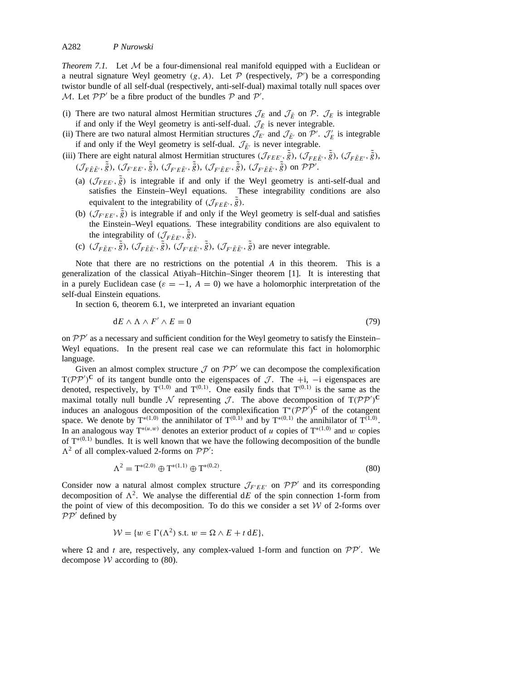*Theorem 7.1.* Let  $M$  be a four-dimensional real manifold equipped with a Euclidean or a neutral signature Weyl geometry  $(g, A)$ . Let  $P$  (respectively,  $P'$ ) be a corresponding twistor bundle of all self-dual (respectively, anti-self-dual) maximal totally null spaces over *M*. Let  $PP'$  be a fibre product of the bundles  $P$  and  $P'$ .

- (i) There are two natural almost Hermitian structures  $\mathcal{J}_E$  and  $\mathcal{J}_{\bar{E}}$  on  $\mathcal{P}$ .  $\mathcal{J}_E$  is integrable if and only if the Weyl geometry is anti-self-dual.  $\mathcal{J}_{\bar{E}}$  is never integrable.
- (ii) There are two natural almost Hermitian structures  $\mathcal{J}_{E'}$  and  $\mathcal{J}_{E'}$  on  $\mathcal{P}'$ .  $\mathcal{J}'_E$  is integrable if and only if the Weyl geometry is self-dual.  $\mathcal{J}_{E'}$  is never integrable.
- (iii) There are eight natural almost Hermitian structures  $(\mathcal{J}_{FEE}, \tilde{\tilde{g}})$ ,  $(\mathcal{J}_{FEE}, \tilde{\tilde{g}})$ ,  $(\mathcal{J}_{F\bar{E}E'}, \tilde{\tilde{g}})$ ,  $(\mathcal{J}_{F\bar{E}\bar{E}'}, \tilde{\tilde{g}}), (\mathcal{J}_{F'EE'}, \tilde{\tilde{g}}), (\mathcal{J}_{F'E\bar{E}'}, \tilde{\tilde{g}}), (\mathcal{J}_{F'\bar{E}E'}, \tilde{\tilde{g}}), (\mathcal{J}_{F'\bar{E}\bar{E}'}, \tilde{\tilde{g}})$  on  $\mathcal{PP}'.$ 
	- (a)  $(\mathcal{J}_{FEE}, \tilde{\tilde{g}})$  is integrable if and only if the Weyl geometry is anti-self-dual and satisfies the Einstein–Weyl equations. These integrability conditions are also equivalent to the integrability of  $(\mathcal{J}_{FEE}, \tilde{\tilde{g}})$ .
	- (b)  $(\mathcal{J}_{F'EE}, \tilde{\tilde{g}})$  is integrable if and only if the Weyl geometry is self-dual and satisfies the Einstein–Weyl equations. These integrability conditions are also equivalent to the integrability of  $(\mathcal{J}_{F\bar{E}E}, \tilde{\tilde{g}})$ .
	- (c)  $(\mathcal{J}_{F\bar{E}E'}, \tilde{\tilde{g}}), (\mathcal{J}_{F\bar{E}\bar{E}'}, \tilde{\tilde{g}}), (\mathcal{J}_{F'E\bar{E}'}, \tilde{\tilde{g}}), (\mathcal{J}_{F'\bar{E}\bar{E}'}, \tilde{\tilde{g}})$  are never integrable.

Note that there are no restrictions on the potential *A* in this theorem. This is a generalization of the classical Atiyah–Hitchin–Singer theorem [1]. It is interesting that in a purely Euclidean case ( $\varepsilon = -1$ ,  $A = 0$ ) we have a holomorphic interpretation of the self-dual Einstein equations.

In section 6, theorem 6.1, we interpreted an invariant equation

$$
dE \wedge \Lambda \wedge F' \wedge E = 0 \tag{79}
$$

on  $PP'$  as a necessary and sufficient condition for the Weyl geometry to satisfy the Einstein– Weyl equations. In the present real case we can reformulate this fact in holomorphic language.

Given an almost complex structure  $\mathcal J$  on  $\mathcal{PP}'$  we can decompose the complexification  $T(PP')^{\text{C}}$  of its tangent bundle onto the eigenspaces of *J*. The +i, −i eigenspaces are denoted, respectively, by  $T^{(1,0)}$  and  $T^{(0,1)}$ . One easily finds that  $T^{(0,1)}$  is the same as the maximal totally null bundle  $\mathcal N$  representing  $\mathcal J$ . The above decomposition of  $T(\mathcal{PP}')^C$ induces an analogous decomposition of the complexification  $T^*(P\overline{P}')^{\text{C}}$  of the cotangent space. We denote by  $T^{*(1,0)}$  the annihilator of  $T^{(0,1)}$  and by  $T^{*(0,1)}$  the annihilator of  $T^{(1,0)}$ . In an analogous way  $T^{*(u,w)}$  denotes an exterior product of *u* copies of  $T^{*(1,0)}$  and *w* copies of T<sup>∗</sup>*(*0*,*1*)* bundles. It is well known that we have the following decomposition of the bundle  $\Lambda^2$  of all complex-valued 2-forms on  $\mathcal{PP}'$ :

$$
\Lambda^2 = \mathbf{T}^{*(2,0)} \oplus \mathbf{T}^{*(1,1)} \oplus \mathbf{T}^{*(0,2)}.
$$
\n(80)

Consider now a natural almost complex structure  $\mathcal{J}_{F'EE'}$  on  $\mathcal{PP}'$  and its corresponding decomposition of  $\Lambda^2$ . We analyse the differential dE of the spin connection 1-form from the point of view of this decomposition. To do this we consider a set *W* of 2-forms over  $PP'$  defined by

$$
\mathcal{W} = \{ w \in \Gamma(\Lambda^2) \text{ s.t. } w = \Omega \wedge E + t \, \mathrm{d}E \},
$$

where  $\Omega$  and *t* are, respectively, any complex-valued 1-form and function on  $\mathcal{PP}'$ . We decompose  $W$  according to (80).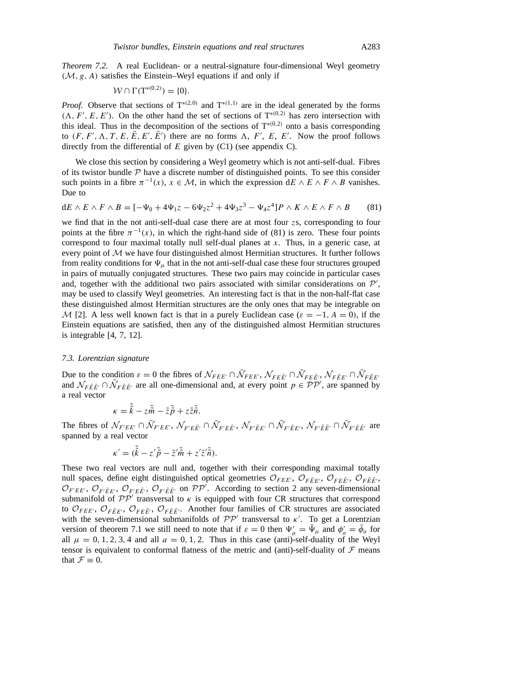*Theorem 7.2.* A real Euclidean- or a neutral-signature four-dimensional Weyl geometry *(M, g, A)* satisfies the Einstein–Weyl equations if and only if

$$
\mathcal{W} \cap \Gamma(T^{*(0,2)}) = \{0\}.
$$

*Proof.* Observe that sections of T<sup>∗(2,0)</sup> and T<sup>∗(1,1)</sup> are in the ideal generated by the forms  $(\Lambda, F', E, E')$ . On the other hand the set of sections of T<sup>\*</sup><sup>(0,2)</sup> has zero intersection with this ideal. Thus in the decomposition of the sections of  $T^{*(0,2)}$  onto a basis corresponding to  $(F, F', \Lambda, T, E, \overline{E}, E', \overline{E'})$  there are no forms  $\Lambda, F', E, E'$ . Now the proof follows directly from the differential of *E* given by (C1) (see appendix C).

We close this section by considering a Weyl geometry which is not anti-self-dual. Fibres of its twistor bundle  $P$  have a discrete number of distinguished points. To see this consider such points in a fibre  $\pi^{-1}(x)$ ,  $x \in M$ , in which the expression d*E* ∧ *E* ∧ *F* ∧ *B* vanishes. Due to

$$
dE \wedge E \wedge F \wedge B = [-\Psi_0 + 4\Psi_1 z - 6\Psi_2 z^2 + 4\Psi_3 z^3 - \Psi_4 z^4] P \wedge K \wedge E \wedge F \wedge B \tag{81}
$$

we find that in the not anti-self-dual case there are at most four *z*s, corresponding to four points at the fibre  $\pi^{-1}(x)$ , in which the right-hand side of (81) is zero. These four points correspond to four maximal totally null self-dual planes at *x*. Thus, in a generic case, at every point of *M* we have four distinguished almost Hermitian structures. It further follows from reality conditions for  $\Psi_{\mu}$  that in the not anti-self-dual case these four structures grouped in pairs of mutually conjugated structures. These two pairs may coincide in particular cases and, together with the additional two pairs associated with similar considerations on  $P'$ , may be used to classify Weyl geometries. An interesting fact is that in the non-half-flat case these distinguished almost Hermitian structures are the only ones that may be integrable on *M* [2]. A less well known fact is that in a purely Euclidean case ( $\varepsilon = -1$ ,  $A = 0$ ), if the Einstein equations are satisfied, then any of the distinguished almost Hermitian structures is integrable [4, 7, 12].

# *7.3. Lorentzian signature*

Due to the condition  $\varepsilon = 0$  the fibres of  $\mathcal{N}_{FEE'} \cap \bar{\mathcal{N}}_{FEE'} \cap \bar{\mathcal{N}}_{FEE'} \cap \bar{\mathcal{N}}_{FEE'} \cap \bar{\mathcal{N}}_{FEE}$ and  $\mathcal{N}_{F\bar{E}\bar{E}'} \cap \bar{\mathcal{N}}_{F\bar{E}\bar{E}'}$  are all one-dimensional and, at every point  $p \in \mathcal{PP}'$ , are spanned by a real vector

$$
\kappa = \tilde{\tilde{k}} - z\tilde{\tilde{m}} - \bar{z}\tilde{\tilde{p}} + z\bar{z}\tilde{\tilde{n}}.
$$

The fibres of  $\mathcal{N}_{F'EE'} \cap \bar{\mathcal{N}}_{F'EE'}$ ,  $\mathcal{N}_{F'E\bar{E}'} \cap \bar{\mathcal{N}}_{F'E\bar{E}'}, \mathcal{N}_{F'\bar{E}E'} \cap \bar{\mathcal{N}}_{F'\bar{E}E'}, \mathcal{N}_{F'\bar{E}\bar{E}'} \cap \bar{\mathcal{N}}_{F'\bar{E}\bar{E}'}$  are spanned by a real vector

$$
\kappa' = (\tilde{\tilde{k}} - z'\tilde{\tilde{p}} - \bar{z}'\tilde{\tilde{m}} + z'\bar{z}'\tilde{\tilde{n}}).
$$

These two real vectors are null and, together with their corresponding maximal totally null spaces, define eight distinguished optical geometries  $\mathcal{O}_{FEE}$ ,  $\mathcal{O}_{F\bar{E}E}$ ,  $\mathcal{O}_{F\bar{E}\bar{E}}$ ,  $\mathcal{O}_{F\bar{E}\bar{E}}$ ,  $\mathcal{O}_{F'EE'}$ ,  $\mathcal{O}_{F'E}$ ,  $\mathcal{O}_{F'E}$ ,  $\mathcal{O}_{F'E}$  on  $\mathcal{PP}'$ . According to section 2 any seven-dimensional submanifold of  $PP'$  transversal to  $\kappa$  is equipped with four CR structures that correspond to  $\mathcal{O}_{FEE}$ ,  $\mathcal{O}_{F\bar{E}E'}$ ,  $\mathcal{O}_{F\bar{E}\bar{E}}$ ,  $\mathcal{O}_{F\bar{E}\bar{E}}$ . Another four families of CR structures are associated with the seven-dimensional submanifolds of  $PP'$  transversal to *κ'*. To get a Lorentzian version of theorem 7.1 we still need to note that if  $\varepsilon = 0$  then  $\Psi'_{\mu} = \bar{\Psi}_{\mu}$  and  $\phi'_{a} = \bar{\phi}_{a}$  for all  $\mu = 0, 1, 2, 3, 4$  and all  $a = 0, 1, 2$ . Thus in this case (anti)-self-duality of the Weyl tensor is equivalent to conformal flatness of the metric and (anti)-self-duality of  $\mathcal F$  means that  $\mathcal{F} \equiv 0$ .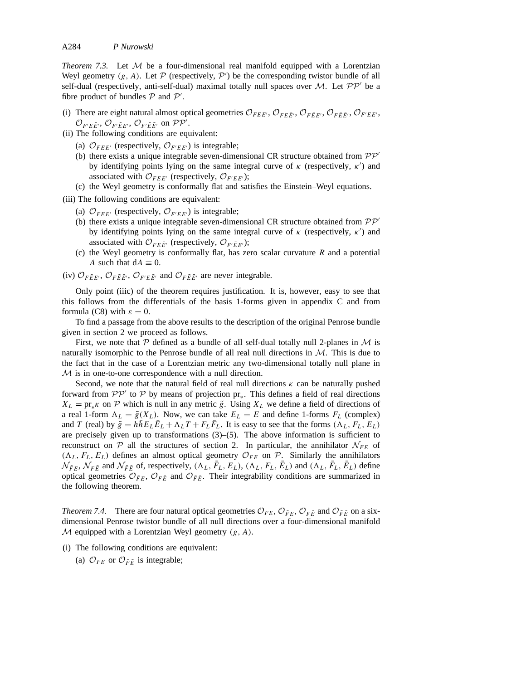*Theorem 7.3.* Let  $M$  be a four-dimensional real manifold equipped with a Lorentzian Weyl geometry  $(g, A)$ . Let  $P$  (respectively,  $P'$ ) be the corresponding twistor bundle of all self-dual (respectively, anti-self-dual) maximal totally null spaces over *M*. Let  $PP'$  be a fibre product of bundles  $P$  and  $P'$ .

- (i) There are eight natural almost optical geometries  $\mathcal{O}_{FEE}$ ,  $\mathcal{O}_{FEE}$ ,  $\mathcal{O}_{FEE}$ ,  $\mathcal{O}_{FEE}$ ,  $\mathcal{O}_{F'EE}$ ,  $\mathcal{O}_{F'E\bar{E}'}, \mathcal{O}_{F'\bar{E}E'}$ ,  $\mathcal{O}_{F'\bar{E}\bar{E}'}$  on  $\mathcal{PP}'$ .
- (ii) The following conditions are equivalent:
	- (a)  $\mathcal{O}_{FEE'}$  (respectively,  $\mathcal{O}_{F'EE'}$ ) is integrable;
	- (b) there exists a unique integrable seven-dimensional CR structure obtained from  $\mathcal{PP}'$ by identifying points lying on the same integral curve of  $\kappa$  (respectively,  $\kappa'$ ) and associated with  $\mathcal{O}_{FEE'}$  (respectively,  $\mathcal{O}_{F'EE'}$ );
	- (c) the Weyl geometry is conformally flat and satisfies the Einstein–Weyl equations.

(iii) The following conditions are equivalent:

- (a)  $\mathcal{O}_{FE\bar{E}'}$  (respectively,  $\mathcal{O}_{F'\bar{E}E'}$ ) is integrable;
- (b) there exists a unique integrable seven-dimensional CR structure obtained from  $PP'$ by identifying points lying on the same integral curve of  $\kappa$  (respectively,  $\kappa'$ ) and associated with  $\mathcal{O}_{FE\bar{E}'}$  (respectively,  $\mathcal{O}_{F'\bar{E}E'}$ );
- (c) the Weyl geometry is conformally flat, has zero scalar curvature *R* and a potential *A* such that  $dA \equiv 0$ .
- (iv)  $\mathcal{O}_{F\bar{E}E'}$ ,  $\mathcal{O}_{F\bar{E}\bar{E}'}$ ,  $\mathcal{O}_{F'E\bar{E}'}$  and  $\mathcal{O}_{F\bar{E}\bar{E}'}$  are never integrable.

Only point (iiic) of the theorem requires justification. It is, however, easy to see that this follows from the differentials of the basis 1-forms given in appendix C and from formula (C8) with  $\varepsilon = 0$ .

To find a passage from the above results to the description of the original Penrose bundle given in section 2 we proceed as follows.

First, we note that  $\mathcal P$  defined as a bundle of all self-dual totally null 2-planes in  $\mathcal M$  is naturally isomorphic to the Penrose bundle of all real null directions in *M*. This is due to the fact that in the case of a Lorentzian metric any two-dimensional totally null plane in *M* is in one-to-one correspondence with a null direction.

Second, we note that the natural field of real null directions  $\kappa$  can be naturally pushed forward from  $\mathcal{PP}'$  to  $\mathcal P$  by means of projection pr<sub>\*</sub>. This defines a field of real directions  $X_L = \text{pr}_{*}$ *k* on  $P$  which is null in any metric  $\tilde{g}$ . Using  $X_L$  we define a field of directions of a real 1-form  $\Lambda_L = \tilde{g}(X_L)$ . Now, we can take  $E_L = E$  and define 1-forms  $F_L$  (complex) and *T* (real) by  $\tilde{g} = h\tilde{h}E_L\tilde{E}_L + \Lambda_L T + F_L\tilde{F}_L$ . It is easy to see that the forms  $(\Lambda_L, F_L, E_L)$ are precisely given up to transformations (3)–(5). The above information is sufficient to reconstruct on  $P$  all the structures of section 2. In particular, the annihilator  $N_{FE}$  of  $(\Lambda_L, F_L, E_L)$  defines an almost optical geometry  $\mathcal{O}_{FE}$  on  $\mathcal{P}$ . Similarly the annihilators  $\mathcal{N}_{\bar{F}E}$ ,  $\mathcal{N}_{F\bar{E}}$  and  $\mathcal{N}_{\bar{F}\bar{E}}$  of, respectively,  $(\Lambda_L, \bar{F}_L, E_L)$ ,  $(\Lambda_L, F_L, \bar{E}_L)$  and  $(\Lambda_L, \bar{F}_L, \bar{E}_L)$  define optical geometries  $\mathcal{O}_{FE}$ ,  $\mathcal{O}_{FE}$  and  $\mathcal{O}_{FE}$ . Their integrability conditions are summarized in the following theorem.

*Theorem 7.4.* There are four natural optical geometries  $\mathcal{O}_{FE}$ ,  $\mathcal{O}_{FE}$ ,  $\mathcal{O}_{FE}$  and  $\mathcal{O}_{FE}$  on a sixdimensional Penrose twistor bundle of all null directions over a four-dimensional manifold *M* equipped with a Lorentzian Weyl geometry *(g, A)*.

- (i) The following conditions are equivalent:
	- (a)  $\mathcal{O}_{FE}$  or  $\mathcal{O}_{\bar{F}\bar{E}}$  is integrable;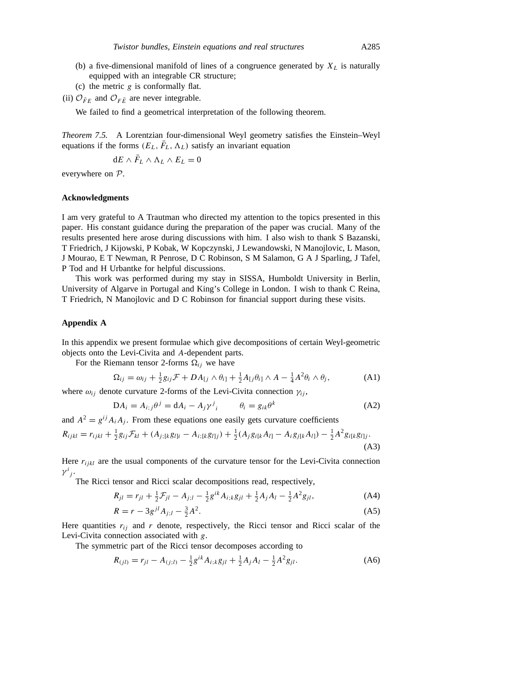- (b) a five-dimensional manifold of lines of a congruence generated by  $X_L$  is naturally equipped with an integrable CR structure;
- (c) the metric *g* is conformally flat.
- (ii)  $\mathcal{O}_{\bar{F}E}$  and  $\mathcal{O}_{F\bar{E}}$  are never integrable.

We failed to find a geometrical interpretation of the following theorem.

*Theorem 7.5.* A Lorentzian four-dimensional Weyl geometry satisfies the Einstein–Weyl equations if the forms  $(E_L, \bar{F}_L, \Lambda_L)$  satisfy an invariant equation

$$
dE \wedge \bar{F}_L \wedge \Lambda_L \wedge E_L = 0
$$

everywhere on *P*.

# **Acknowledgments**

I am very grateful to A Trautman who directed my attention to the topics presented in this paper. His constant guidance during the preparation of the paper was crucial. Many of the results presented here arose during discussions with him. I also wish to thank S Bazanski, T Friedrich, J Kijowski, P Kobak, W Kopczynski, J Lewandowski, N Manojlovic, L Mason, J Mourao, E T Newman, R Penrose, D C Robinson, S M Salamon, G A J Sparling, J Tafel, P Tod and H Urbantke for helpful discussions.

This work was performed during my stay in SISSA, Humboldt University in Berlin, University of Algarve in Portugal and King's College in London. I wish to thank C Reina, T Friedrich, N Manojlovic and D C Robinson for financial support during these visits.

#### **Appendix A**

In this appendix we present formulae which give decompositions of certain Weyl-geometric objects onto the Levi-Civita and *A*-dependent parts.

For the Riemann tensor 2-forms  $\Omega_{ij}$  we have

$$
\Omega_{ij} = \omega_{ij} + \frac{1}{2}g_{ij}\mathcal{F} + DA_{[j} \wedge \theta_{i]} + \frac{1}{2}A_{[j}\theta_{i]} \wedge A - \frac{1}{4}A^2\theta_i \wedge \theta_j,
$$
\n(A1)

where  $\omega_{ij}$  denote curvature 2-forms of the Levi-Civita connection  $\gamma_{ij}$ ,

$$
DA_i = A_{i,j}\theta^j = dA_i - A_j\gamma^j_{i} \qquad \theta_i = g_{ik}\theta^k \tag{A2}
$$

and  $A^2 = g^{ij} A_i A_j$ . From these equations one easily gets curvature coefficients

$$
R_{ijkl} = r_{ijkl} + \frac{1}{2}g_{ij}\mathcal{F}_{kl} + (A_{j; [k}g_{l]i} - A_{i; [k}g_{l]j}) + \frac{1}{2}(A_jg_{i[k}A_{l]} - A_ig_{j[k}A_{l]}) - \frac{1}{2}A^2g_{i[k}g_{l]j}.
$$
\n(A3)

Here  $r_{ijkl}$  are the usual components of the curvature tensor for the Levi-Civita connection  $\gamma^i{}_j$ .

The Ricci tensor and Ricci scalar decompositions read, respectively,

$$
R_{jl} = r_{jl} + \frac{1}{2}\mathcal{F}_{jl} - A_{j;l} - \frac{1}{2}g^{ik}A_{i;k}g_{jl} + \frac{1}{2}A_jA_l - \frac{1}{2}A^2g_{jl},
$$
 (A4)

$$
R = r - 3g^{jl}A_{j;l} - \frac{3}{2}A^2.
$$
 (A5)

Here quantities  $r_{ij}$  and  $r$  denote, respectively, the Ricci tensor and Ricci scalar of the Levi-Civita connection associated with *g*.

The symmetric part of the Ricci tensor decomposes according to

$$
R_{(jl)} = r_{jl} - A_{(j;l)} - \frac{1}{2}g^{ik}A_{i;k}g_{jl} + \frac{1}{2}A_jA_l - \frac{1}{2}A^2g_{jl}.
$$
 (A6)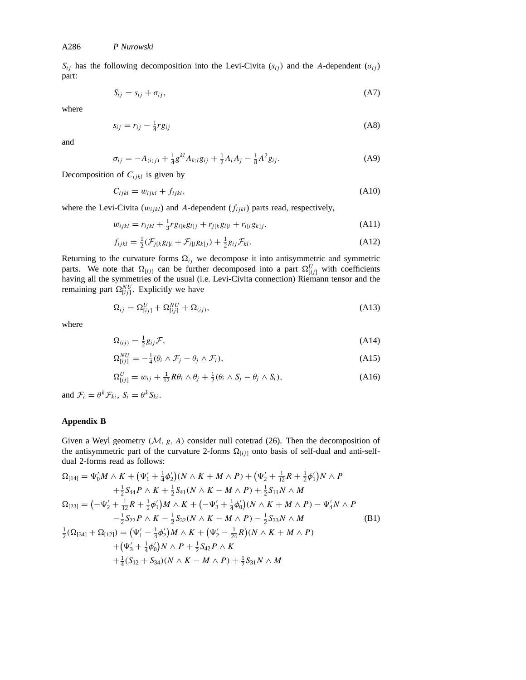$S_{ij}$  has the following decomposition into the Levi-Civita ( $s_{ij}$ ) and the *A*-dependent ( $\sigma_{ij}$ ) part:

$$
S_{ij} = s_{ij} + \sigma_{ij},\tag{A7}
$$

where

$$
s_{ij} = r_{ij} - \frac{1}{4} r g_{ij} \tag{A8}
$$

and

$$
\sigma_{ij} = -A_{(i;j)} + \frac{1}{4}g^{kl}A_{k;l}g_{ij} + \frac{1}{2}A_iA_j - \frac{1}{8}A^2g_{ij}.
$$
 (A9)

Decomposition of *Cijkl* is given by

$$
C_{ijkl} = w_{ijkl} + f_{ijkl}, \tag{A10}
$$

where the Levi-Civita (*wijkl*) and *A*-dependent (*fijkl*) parts read, respectively,

$$
w_{ijkl} = r_{ijkl} + \frac{1}{3} r g_{i[k} g_{l]j} + r_{j[k} g_{l]i} + r_{i[l} g_{k]j}, \qquad (A11)
$$

$$
f_{ijkl} = \frac{1}{2}(\mathcal{F}_{j[k}g_{l]i} + \mathcal{F}_{i[l}g_{k]j}) + \frac{1}{2}g_{ij}\mathcal{F}_{kl}.
$$
 (A12)

Returning to the curvature forms  $\Omega_{ij}$  we decompose it into antisymmetric and symmetric parts. We note that  $\Omega_{[ij]}$  can be further decomposed into a part  $\Omega_{[ij]}^U$  with coefficients having all the symmetries of the usual (i.e. Levi-Civita connection) Riemann tensor and the remaining part  $\Omega_{[ij]}^{NU}$ . Explicitly we have

$$
\Omega_{ij} = \Omega_{[ij]}^U + \Omega_{[ij]}^{NU} + \Omega_{(ij)},\tag{A13}
$$

where

$$
\Omega_{(ij)} = \frac{1}{2} g_{ij} \mathcal{F},\tag{A14}
$$

$$
\Omega_{[ij]}^{NU} = -\frac{1}{4}(\theta_i \wedge \mathcal{F}_j - \theta_j \wedge \mathcal{F}_i),\tag{A15}
$$

$$
\Omega_{[ij]}^U = w_{ij} + \frac{1}{12} R \theta_i \wedge \theta_j + \frac{1}{2} (\theta_i \wedge S_j - \theta_j \wedge S_i), \tag{A16}
$$

and  $\mathcal{F}_i = \theta^k \mathcal{F}_{ki}$ ,  $S_i = \theta^k S_{ki}$ .

# **Appendix B**

Given a Weyl geometry *(M, g, A)* consider null cotetrad (26). Then the decomposition of the antisymmetric part of the curvature 2-forms  $\Omega_{[ij]}$  onto basis of self-dual and anti-selfdual 2-forms read as follows:

$$
\Omega_{[14]} = \Psi_0'M \wedge K + (\Psi_1' + \frac{1}{4}\phi_2')(N \wedge K + M \wedge P) + (\Psi_2' + \frac{1}{12}R + \frac{1}{2}\phi_1')N \wedge P \n+ \frac{1}{2}S_{44}P \wedge K + \frac{1}{2}S_{41}(N \wedge K - M \wedge P) + \frac{1}{2}S_{11}N \wedge M \n\Omega_{[23]} = (-\Psi_2' + \frac{1}{12}R + \frac{1}{2}\phi_1')M \wedge K + (-\Psi_3' + \frac{1}{4}\phi_0')(N \wedge K + M \wedge P) - \Psi_4'N \wedge P \n- \frac{1}{2}S_{22}P \wedge K - \frac{1}{2}S_{32}(N \wedge K - M \wedge P) - \frac{1}{2}S_{33}N \wedge M \n\frac{1}{2}(\Omega_{[34]} + \Omega_{[12]}) = (\Psi_1' - \frac{1}{4}\phi_2')M \wedge K + (\Psi_2' - \frac{1}{24}R)(N \wedge K + M \wedge P) \n+ (\Psi_3' + \frac{1}{4}\phi_0')N \wedge P + \frac{1}{2}S_{42}P \wedge K \n+ \frac{1}{4}(S_{12} + S_{34})(N \wedge K - M \wedge P) + \frac{1}{2}S_{31}N \wedge M
$$
\n(31)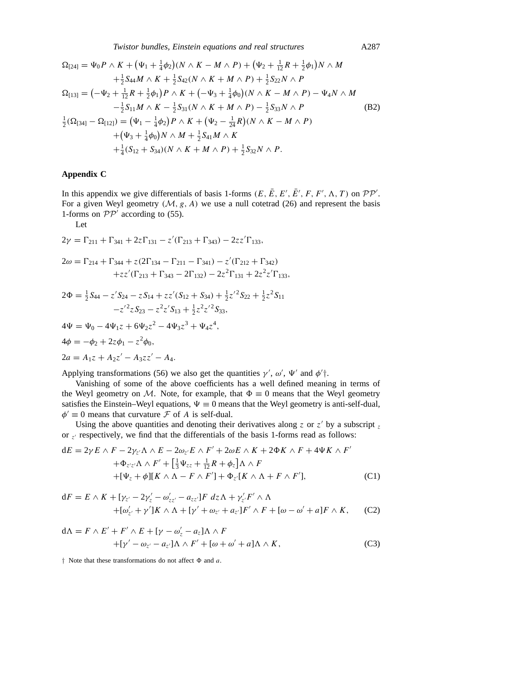$$
\Omega_{[24]} = \Psi_0 P \wedge K + (\Psi_1 + \frac{1}{4}\phi_2)(N \wedge K - M \wedge P) + (\Psi_2 + \frac{1}{12}R + \frac{1}{2}\phi_1)N \wedge M \n+ \frac{1}{2}S_{44}M \wedge K + \frac{1}{2}S_{42}(N \wedge K + M \wedge P) + \frac{1}{2}S_{22}N \wedge P \n\Omega_{[13]} = (-\Psi_2 + \frac{1}{12}R + \frac{1}{2}\phi_1)P \wedge K + (-\Psi_3 + \frac{1}{4}\phi_0)(N \wedge K - M \wedge P) - \Psi_4N \wedge M \n- \frac{1}{2}S_{11}M \wedge K - \frac{1}{2}S_{31}(N \wedge K + M \wedge P) - \frac{1}{2}S_{33}N \wedge P \n\frac{1}{2}(\Omega_{[34]} - \Omega_{[12]}) = (\Psi_1 - \frac{1}{4}\phi_2)P \wedge K + (\Psi_2 - \frac{1}{24}R)(N \wedge K - M \wedge P) \n+ (\Psi_3 + \frac{1}{4}\phi_0)N \wedge M + \frac{1}{2}S_{41}M \wedge K \n+ \frac{1}{4}(S_{12} + S_{34})(N \wedge K + M \wedge P) + \frac{1}{2}S_{32}N \wedge P.
$$
\n(S2)

# **Appendix C**

In this appendix we give differentials of basis 1-forms  $(E, \overline{E}, E', \overline{E}', F, F', \Lambda, T)$  on  $\mathcal{PP}'$ . For a given Weyl geometry  $(M, g, A)$  we use a null cotetrad (26) and represent the basis 1-forms on  $PP'$  according to (55).

Let

$$
2\gamma = \Gamma_{211} + \Gamma_{341} + 2z\Gamma_{131} - z'(\Gamma_{213} + \Gamma_{343}) - 2zz'\Gamma_{133},
$$

$$
2\omega = \Gamma_{214} + \Gamma_{344} + z(2\Gamma_{134} - \Gamma_{211} - \Gamma_{341}) - z'(\Gamma_{212} + \Gamma_{342})
$$

$$
+zz'(\Gamma_{213} + \Gamma_{343} - 2\Gamma_{132}) - 2z^2\Gamma_{131} + 2z^2z'\Gamma_{133},
$$

$$
2\Phi = \frac{1}{2}S_{44} - z'S_{24} - zS_{14} + zz'(S_{12} + S_{34}) + \frac{1}{2}z'^2S_{22} + \frac{1}{2}z^2S_{11} - z'^2Z'S_{23} - z^2Z'S_{13} + \frac{1}{2}z^2Z'^2S_{33},
$$

$$
4\Psi = \Psi_0 - 4\Psi_1 z + 6\Psi_2 z^2 - 4\Psi_3 z^3 + \Psi_4 z^4,
$$
  
\n
$$
4\phi = -\phi_2 + 2z\phi_1 - z^2\phi_0,
$$
  
\n
$$
2a = A_1 z + A_2 z' - A_3 z z' - A_4.
$$

Applying transformations (56) we also get the quantities  $\gamma'$ ,  $\omega'$ ,  $\Psi'$  and  $\phi'$ <sup>†</sup>.

Vanishing of some of the above coefficients has a well defined meaning in terms of the Weyl geometry on *M*. Note, for example, that  $\Phi \equiv 0$  means that the Weyl geometry satisfies the Einstein–Weyl equations,  $\Psi \equiv 0$  means that the Weyl geometry is anti-self-dual,  $\phi' \equiv 0$  means that curvature *F* of *A* is self-dual.

Using the above quantities and denoting their derivatives along  $z$  or  $z'$  by a subscript  $z$ or  $z<sub>1</sub>$  respectively, we find that the differentials of the basis 1-forms read as follows:

$$
dE = 2\gamma E \wedge F - 2\gamma_z \wedge \wedge E - 2\omega_z E \wedge F' + 2\omega E \wedge K + 2\Phi K \wedge F + 4\Psi K \wedge F'
$$
  
+ 
$$
\Phi_{z'z'}\Lambda \wedge F' + \left[\frac{1}{3}\Psi_{zz} + \frac{1}{12}R + \phi_z\right]\Lambda \wedge F
$$
  
+ 
$$
[\Psi_z + \phi][K \wedge \Lambda - F \wedge F'] + \Phi_{z'}[K \wedge \Lambda + F \wedge F'], \tag{C1}
$$

$$
dF = E \wedge K + [\gamma_{z'} - 2\gamma_z' - \omega_{zz'}' - a_{zz'}]F dz\Lambda + \gamma_{z'}'F' \wedge \Lambda + [\omega_{z'}' + \gamma']K \wedge \Lambda + [\gamma' + \omega_{z'} + a_{z'}]F' \wedge F + [\omega - \omega' + a]F \wedge K,
$$
 (C2)

$$
d\Lambda = F \wedge E' + F' \wedge E + [\gamma - \omega'_z - a_z] \Lambda \wedge F
$$
  
+ 
$$
[\gamma' - \omega_{z'} - a_{z'}] \Lambda \wedge F' + [\omega + \omega' + a] \Lambda \wedge K,
$$
 (C3)

*†* Note that these transformations do not affect *8* and *a*.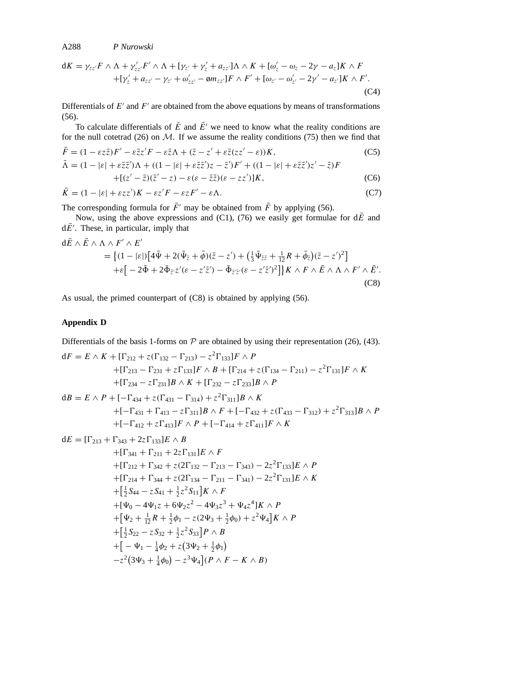A288 *P Nurowski*

$$
dK = \gamma_{zz'}F \wedge \Lambda + \gamma'_{zz'}F' \wedge \Lambda + [\gamma_{z'} + \gamma'_{z} + a_{zz'}]\Lambda \wedge K + [\omega'_{z} - \omega_{z} - 2\gamma - a_{z}]K \wedge F + [\gamma'_{z} + a_{zz'} - \gamma_{z'} + \omega'_{zz'} - \phi m_{zz'}]F \wedge F' + [\omega_{z'} - \omega'_{z'} - 2\gamma' - a_{z'}]K \wedge F'.
$$
(C4)

Differentials of  $E'$  and  $F'$  are obtained from the above equations by means of transformations (56).

To calculate differentials of  $\overline{E}$  and  $\overline{E}$ <sup> $\prime$ </sup> we need to know what the reality conditions are for the null cotetrad  $(26)$  on  $M$ . If we assume the reality conditions  $(75)$  then we find that

$$
\bar{F} = (1 - \varepsilon z \bar{z})F' - \varepsilon \bar{z}z'F - \varepsilon \bar{z}\Lambda + (\bar{z} - z' + \varepsilon \bar{z}(zz' - \varepsilon))K,\tag{C5}
$$

$$
\bar{\Lambda} = (1 - |\varepsilon| + \varepsilon \bar{z}\bar{z}')\Lambda + ((1 - |\varepsilon| + \varepsilon \bar{z}\bar{z}')z - \bar{z}')F' + ((1 - |\varepsilon| + \varepsilon \bar{z}\bar{z}')z' - \bar{z})F \n+[(z' - \bar{z})(\bar{z}' - z) - \varepsilon(\varepsilon - \bar{z}\bar{z})(\varepsilon - z\bar{z}')]K,
$$
\n(C6)

$$
\bar{K} = (1 - |\varepsilon| + \varepsilon z z')K - \varepsilon z'F - \varepsilon zF' - \varepsilon \Lambda. \tag{C7}
$$

The corresponding formula for  $\bar{F}$ <sup> $\prime$ </sup> may be obtained from  $\bar{F}$  by applying (56).

Now, using the above expressions and (C1), (76) we easily get formulae for  $d\bar{E}$  and  $dE'$ . These, in particular, imply that

$$
d\bar{E} \wedge \bar{E} \wedge \Lambda \wedge F' \wedge E'
$$
  
= { $(1 - |\varepsilon|)[4\bar{\Psi} + 2(\bar{\Psi}_{\bar{z}} + \bar{\phi})(\bar{z} - z') + (\frac{1}{3}\bar{\Psi}_{\bar{z}\bar{z}} + \frac{1}{12}R + \bar{\phi}_{\bar{z}})(\bar{z} - z')^2]$   
+ $\varepsilon [-2\bar{\Phi} + 2\bar{\Phi}_{\bar{z}'z}'(\varepsilon - z'\bar{z}') - \bar{\Phi}_{\bar{z}'z'}(\varepsilon - z'\bar{z}')^2]$ } K  $\wedge F \wedge \bar{E} \wedge \Lambda \wedge F' \wedge \bar{E}'$ . (C8)

As usual, the primed counterpart of (C8) is obtained by applying (56).

# **Appendix D**

Differentials of the basis 1-forms on  $P$  are obtained by using their representation (26), (43).

$$
dF = E \wedge K + [\Gamma_{212} + z(\Gamma_{132} - \Gamma_{213}) - z^2 \Gamma_{133}]F \wedge P
$$
  
+ [\Gamma\_{213} - \Gamma\_{231} + z \Gamma\_{133}]F \wedge B + [\Gamma\_{214} + z(\Gamma\_{134} - \Gamma\_{211}) - z^2 \Gamma\_{131}]F \wedge K  
+ [\Gamma\_{234} - z \Gamma\_{231}]B \wedge K + [\Gamma\_{232} - z \Gamma\_{233}]B \wedge P  
  
dB = E \wedge P + [-\Gamma\_{434} + z(\Gamma\_{431} - \Gamma\_{314}) + z^2 \Gamma\_{311}]B \wedge K  
+ [-\Gamma\_{431} + \Gamma\_{413} - z \Gamma\_{311}]B \wedge F + [-\Gamma\_{432} + z(\Gamma\_{433} - \Gamma\_{312}) + z^2 \Gamma\_{313}]B \wedge P  
+ [-\Gamma\_{412} + z \Gamma\_{413}]F \wedge P + [-\Gamma\_{414} + z \Gamma\_{411}]F \wedge K  
  
dE = [\Gamma\_{213} + \Gamma\_{343} + 2z \Gamma\_{133}]E \wedge B  
+ [\Gamma\_{341} + \Gamma\_{211} + 2z \Gamma\_{131}]E \wedge F  
+ [\Gamma\_{212} + \Gamma\_{342} + z(2\Gamma\_{132} - \Gamma\_{213} - \Gamma\_{343}) - 2z^2 \Gamma\_{133}]E \wedge P  
+ [\Gamma\_{214} + \Gamma\_{344} + z(2\Gamma\_{134} - \Gamma\_{211} - \Gamma\_{341}) - 2z^2 \Gamma\_{131}]E \wedge K  
+ [\frac{1}{2} S\_{44} - z S\_{41} + \frac{1}{2} z^2 S\_{11}]K \wedge F  
+ [\Psi\_0 - 4\Psi\_1 z + 6\Psi\_2 z^2 - 4\Psi\_3 z^3 + \Psi\_4 z^4]K \wedge P  
+ [\Psi\_2 + \frac{1}{12}R + \frac{1}{2}\phi\_1 - z(2\Psi\_3 + \frac{1}{2}\phi\_0) + z^2\Psi\_4]K \wedge P  
+ [\frac{1}{2} S\_{22} - z S\_{32} + \frac{1}{2} z^2 S\_{33}]P \wedge B  
+ [-\Psi\_1 - \frac{1}{4}\phi\_2 + z(3\Psi\_2 + \frac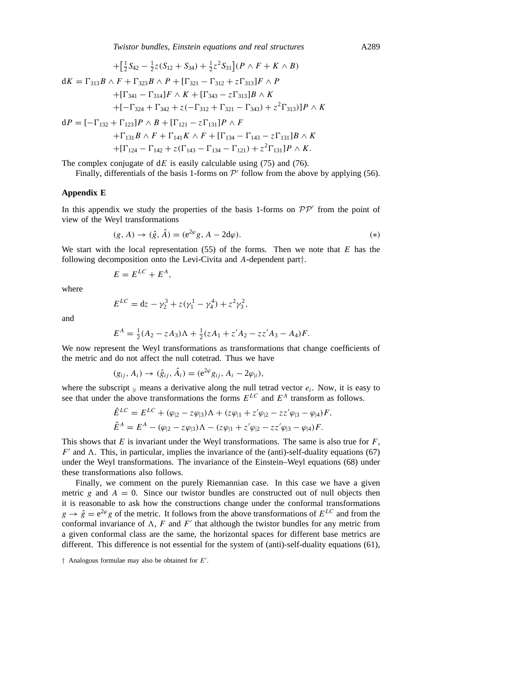*Twistor bundles, Einstein equations and real structures* A289

$$
+ \left[\frac{1}{2}S_{42} - \frac{1}{2}z(S_{12} + S_{34}) + \frac{1}{2}z^2S_{31}\right](P \wedge F + K \wedge B)
$$
  
\n
$$
dK = \Gamma_{313}B \wedge F + \Gamma_{323}B \wedge P + [\Gamma_{321} - \Gamma_{312} + z\Gamma_{313}]F \wedge P
$$
  
\n
$$
+ [\Gamma_{341} - \Gamma_{314}]F \wedge K + [\Gamma_{343} - z\Gamma_{313}]B \wedge K
$$
  
\n
$$
+ [-\Gamma_{324} + \Gamma_{342} + z(-\Gamma_{312} + \Gamma_{321} - \Gamma_{343}) + z^2\Gamma_{313})]P \wedge K
$$
  
\n
$$
dP = [-\Gamma_{132} + \Gamma_{123}]P \wedge B + [\Gamma_{121} - z\Gamma_{131}]P \wedge F
$$
  
\n
$$
+ \Gamma_{131}B \wedge F + \Gamma_{141}K \wedge F + [\Gamma_{134} - \Gamma_{143} - z\Gamma_{131}]B \wedge K
$$

$$
+[\Gamma_{124}-\Gamma_{142}+z(\Gamma_{143}-\Gamma_{134}-\Gamma_{121})+z^2\Gamma_{131}]P\wedge K.
$$

The complex conjugate of d*E* is easily calculable using (75) and (76).

Finally, differentials of the basis 1-forms on  $P'$  follow from the above by applying (56).

# **Appendix E**

In this appendix we study the properties of the basis 1-forms on  $\mathcal{PP}'$  from the point of view of the Weyl transformations

$$
(g, A) \to (\hat{g}, \hat{A}) = (e^{2\varphi}g, A - 2d\varphi).
$$
 (\*)

We start with the local representation (55) of the forms. Then we note that *E* has the following decomposition onto the Levi-Civita and *A*-dependent part*†*.

$$
E = E^{LC} + E^A,
$$

where

$$
E^{LC} = dz - \gamma_2^3 + z(\gamma_1^1 - \gamma_4^4) + z^2 \gamma_3^2,
$$

and

$$
E^{A} = \frac{1}{2}(A_{2} - zA_{3})\Lambda + \frac{1}{2}(zA_{1} + z'A_{2} - zz'A_{3} - A_{4})F.
$$

We now represent the Weyl transformations as transformations that change coefficients of the metric and do not affect the null cotetrad. Thus we have

$$
(g_{ij}, A_i) \rightarrow (\hat{g}_{ij}, \hat{A}_i) = (e^{2\varphi} g_{ij}, A_i - 2\varphi_{|i}),
$$

where the subscript  $\vert i \rangle$  means a derivative along the null tetrad vector  $e_i$ . Now, it is easy to see that under the above transformations the forms *ELC* and *E<sup>A</sup>* transform as follows.

$$
\hat{E}^{LC} = E^{LC} + (\varphi_{|2} - z\varphi_{|3})\Lambda + (z\varphi_{|1} + z'\varphi_{|2} - zz'\varphi_{|3} - \varphi_{|4})F,
$$
  

$$
\hat{E}^{A} = E^{A} - (\varphi_{|2} - z\varphi_{|3})\Lambda - (z\varphi_{|1} + z'\varphi_{|2} - zz'\varphi_{|3} - \varphi_{|4})F.
$$

This shows that *E* is invariant under the Weyl transformations. The same is also true for *F*,  $F'$  and  $\Lambda$ . This, in particular, implies the invariance of the (anti)-self-duality equations (67) under the Weyl transformations. The invariance of the Einstein–Weyl equations (68) under these transformations also follows.

Finally, we comment on the purely Riemannian case. In this case we have a given metric *g* and  $A = 0$ . Since our twistor bundles are constructed out of null objects then it is reasonable to ask how the constructions change under the conformal transformations  $g \to \hat{g} = e^{2\varphi} g$  of the metric. It follows from the above transformations of  $E^{LC}$  and from the conformal invariance of  $\Lambda$ ,  $F$  and  $F'$  that although the twistor bundles for any metric from a given conformal class are the same, the horizontal spaces for different base metrics are different. This difference is not essential for the system of (anti)-self-duality equations (61),

*<sup>†</sup>* Analogous formulae may also be obtained for *E'*.